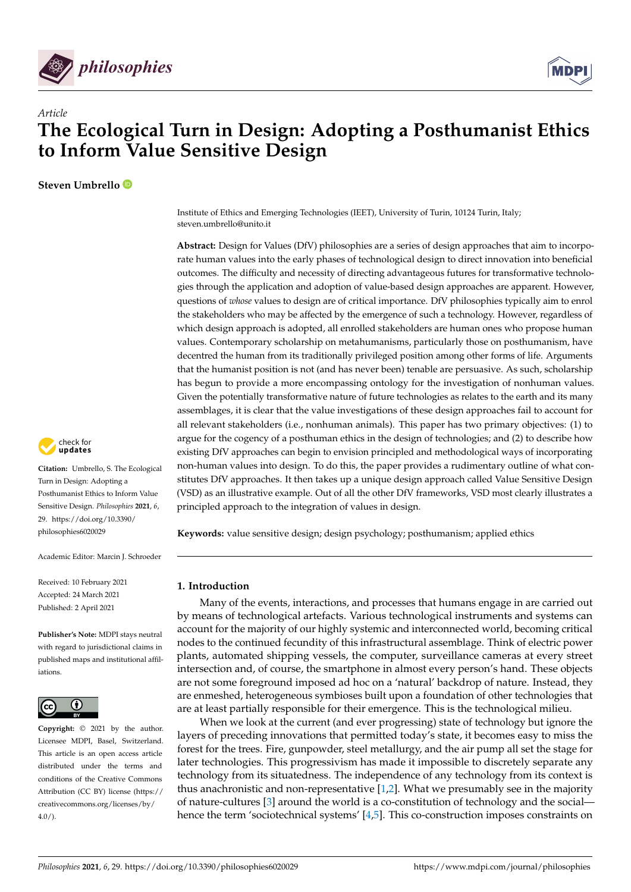



# **The Ecological Turn in Design: Adopting a Posthumanist Ethics to Inform Value Sensitive Design**

**Steven Umbrello**

*Article*



**Citation:** Umbrello, S. The Ecological Turn in Design: Adopting a Posthumanist Ethics to Inform Value Sensitive Design. *Philosophies* **2021**, *6*, 29. [https://doi.org/10.3390/](https://doi.org/10.3390/philosophies6020029) [philosophies6020029](https://doi.org/10.3390/philosophies6020029)

Academic Editor: Marcin J. Schroeder

Received: 10 February 2021 Accepted: 24 March 2021 Published: 2 April 2021

**Publisher's Note:** MDPI stays neutral with regard to jurisdictional claims in published maps and institutional affiliations.



**Copyright:** © 2021 by the author. Licensee MDPI, Basel, Switzerland. This article is an open access article distributed under the terms and conditions of the Creative Commons Attribution (CC BY) license (https:/[/](https://creativecommons.org/licenses/by/4.0/) [creativecommons.org/licenses/by/](https://creativecommons.org/licenses/by/4.0/)  $4.0/$ ).

Institute of Ethics and Emerging Technologies (IEET), University of Turin, 10124 Turin, Italy; steven.umbrello@unito.it

**Abstract:** Design for Values (DfV) philosophies are a series of design approaches that aim to incorporate human values into the early phases of technological design to direct innovation into beneficial outcomes. The difficulty and necessity of directing advantageous futures for transformative technologies through the application and adoption of value-based design approaches are apparent. However, questions of *whose* values to design are of critical importance. DfV philosophies typically aim to enrol the stakeholders who may be affected by the emergence of such a technology. However, regardless of which design approach is adopted, all enrolled stakeholders are human ones who propose human values. Contemporary scholarship on metahumanisms, particularly those on posthumanism, have decentred the human from its traditionally privileged position among other forms of life. Arguments that the humanist position is not (and has never been) tenable are persuasive. As such, scholarship has begun to provide a more encompassing ontology for the investigation of nonhuman values. Given the potentially transformative nature of future technologies as relates to the earth and its many assemblages, it is clear that the value investigations of these design approaches fail to account for all relevant stakeholders (i.e., nonhuman animals). This paper has two primary objectives: (1) to argue for the cogency of a posthuman ethics in the design of technologies; and (2) to describe how existing DfV approaches can begin to envision principled and methodological ways of incorporating non-human values into design. To do this, the paper provides a rudimentary outline of what constitutes DfV approaches. It then takes up a unique design approach called Value Sensitive Design (VSD) as an illustrative example. Out of all the other DfV frameworks, VSD most clearly illustrates a principled approach to the integration of values in design.

**Keywords:** value sensitive design; design psychology; posthumanism; applied ethics

## **1. Introduction**

Many of the events, interactions, and processes that humans engage in are carried out by means of technological artefacts. Various technological instruments and systems can account for the majority of our highly systemic and interconnected world, becoming critical nodes to the continued fecundity of this infrastructural assemblage. Think of electric power plants, automated shipping vessels, the computer, surveillance cameras at every street intersection and, of course, the smartphone in almost every person's hand. These objects are not some foreground imposed ad hoc on a 'natural' backdrop of nature. Instead, they are enmeshed, heterogeneous symbioses built upon a foundation of other technologies that are at least partially responsible for their emergence. This is the technological milieu.

When we look at the current (and ever progressing) state of technology but ignore the layers of preceding innovations that permitted today's state, it becomes easy to miss the forest for the trees. Fire, gunpowder, steel metallurgy, and the air pump all set the stage for later technologies. This progressivism has made it impossible to discretely separate any technology from its situatedness. The independence of any technology from its context is thus anachronistic and non-representative [\[1](#page-17-0)[,2\]](#page-17-1). What we presumably see in the majority of nature-cultures [\[3\]](#page-17-2) around the world is a co-constitution of technology and the social hence the term 'sociotechnical systems' [\[4](#page-17-3)[,5\]](#page-17-4). This co-construction imposes constraints on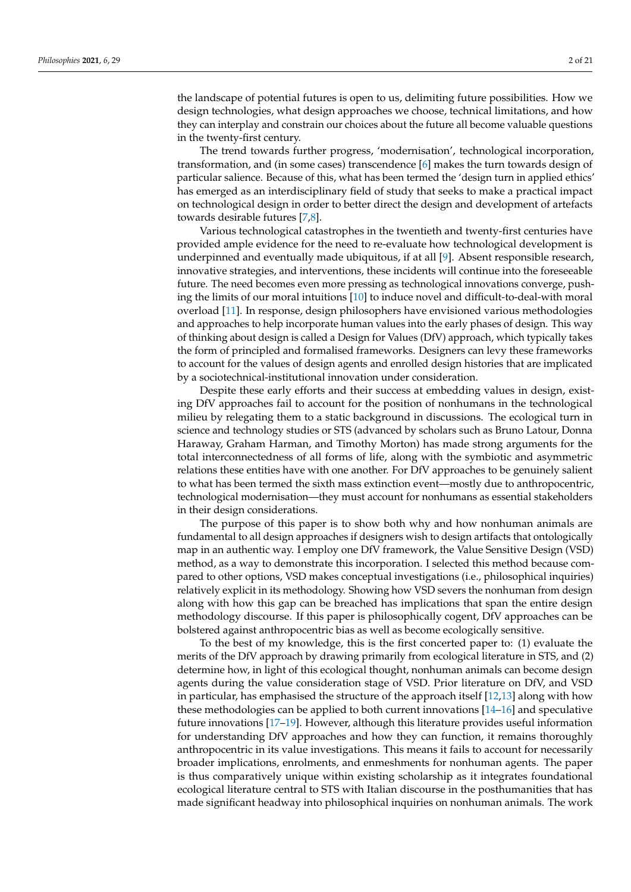the landscape of potential futures is open to us, delimiting future possibilities. How we design technologies, what design approaches we choose, technical limitations, and how they can interplay and constrain our choices about the future all become valuable questions in the twenty-first century.

The trend towards further progress, 'modernisation', technological incorporation, transformation, and (in some cases) transcendence [\[6\]](#page-17-5) makes the turn towards design of particular salience. Because of this, what has been termed the 'design turn in applied ethics' has emerged as an interdisciplinary field of study that seeks to make a practical impact on technological design in order to better direct the design and development of artefacts towards desirable futures [\[7](#page-17-6)[,8\]](#page-17-7).

Various technological catastrophes in the twentieth and twenty-first centuries have provided ample evidence for the need to re-evaluate how technological development is underpinned and eventually made ubiquitous, if at all [\[9\]](#page-17-8). Absent responsible research, innovative strategies, and interventions, these incidents will continue into the foreseeable future. The need becomes even more pressing as technological innovations converge, pushing the limits of our moral intuitions [\[10\]](#page-17-9) to induce novel and difficult-to-deal-with moral overload [\[11\]](#page-17-10). In response, design philosophers have envisioned various methodologies and approaches to help incorporate human values into the early phases of design. This way of thinking about design is called a Design for Values (DfV) approach, which typically takes the form of principled and formalised frameworks. Designers can levy these frameworks to account for the values of design agents and enrolled design histories that are implicated by a sociotechnical-institutional innovation under consideration.

Despite these early efforts and their success at embedding values in design, existing DfV approaches fail to account for the position of nonhumans in the technological milieu by relegating them to a static background in discussions. The ecological turn in science and technology studies or STS (advanced by scholars such as Bruno Latour, Donna Haraway, Graham Harman, and Timothy Morton) has made strong arguments for the total interconnectedness of all forms of life, along with the symbiotic and asymmetric relations these entities have with one another. For DfV approaches to be genuinely salient to what has been termed the sixth mass extinction event—mostly due to anthropocentric, technological modernisation—they must account for nonhumans as essential stakeholders in their design considerations.

The purpose of this paper is to show both why and how nonhuman animals are fundamental to all design approaches if designers wish to design artifacts that ontologically map in an authentic way. I employ one DfV framework, the Value Sensitive Design (VSD) method, as a way to demonstrate this incorporation. I selected this method because compared to other options, VSD makes conceptual investigations (i.e., philosophical inquiries) relatively explicit in its methodology. Showing how VSD severs the nonhuman from design along with how this gap can be breached has implications that span the entire design methodology discourse. If this paper is philosophically cogent, DfV approaches can be bolstered against anthropocentric bias as well as become ecologically sensitive.

To the best of my knowledge, this is the first concerted paper to: (1) evaluate the merits of the DfV approach by drawing primarily from ecological literature in STS, and (2) determine how, in light of this ecological thought, nonhuman animals can become design agents during the value consideration stage of VSD. Prior literature on DfV, and VSD in particular, has emphasised the structure of the approach itself [\[12,](#page-17-11)[13\]](#page-17-12) along with how these methodologies can be applied to both current innovations [\[14–](#page-17-13)[16\]](#page-17-14) and speculative future innovations [\[17](#page-17-15)[–19\]](#page-17-16). However, although this literature provides useful information for understanding DfV approaches and how they can function, it remains thoroughly anthropocentric in its value investigations. This means it fails to account for necessarily broader implications, enrolments, and enmeshments for nonhuman agents. The paper is thus comparatively unique within existing scholarship as it integrates foundational ecological literature central to STS with Italian discourse in the posthumanities that has made significant headway into philosophical inquiries on nonhuman animals. The work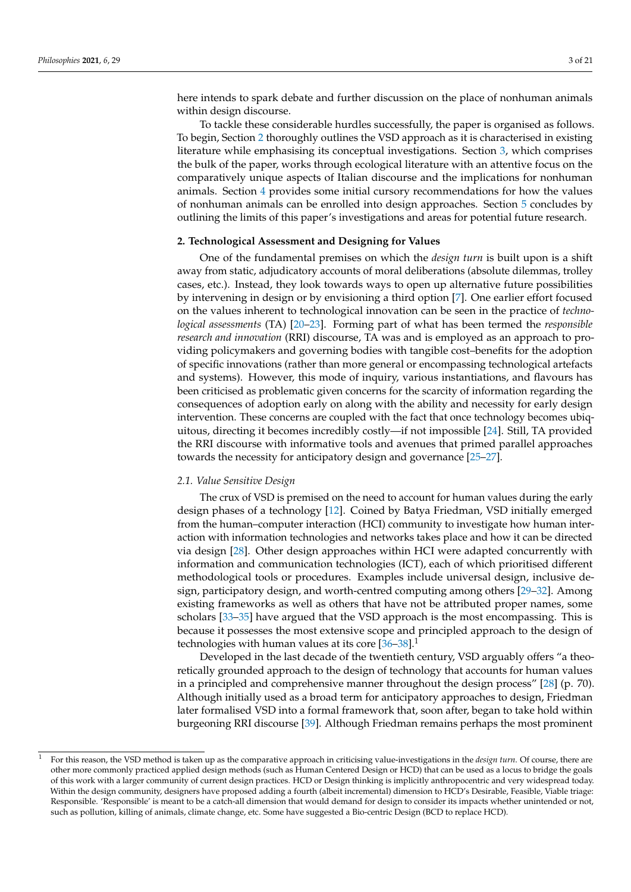here intends to spark debate and further discussion on the place of nonhuman animals within design discourse.

To tackle these considerable hurdles successfully, the paper is organised as follows. To begin, Section [2](#page-2-0) thoroughly outlines the VSD approach as it is characterised in existing literature while emphasising its conceptual investigations. Section [3,](#page-5-0) which comprises the bulk of the paper, works through ecological literature with an attentive focus on the comparatively unique aspects of Italian discourse and the implications for nonhuman animals. Section [4](#page-10-0) provides some initial cursory recommendations for how the values of nonhuman animals can be enrolled into design approaches. Section [5](#page-10-1) concludes by outlining the limits of this paper's investigations and areas for potential future research.

## <span id="page-2-0"></span>**2. Technological Assessment and Designing for Values**

One of the fundamental premises on which the *design turn* is built upon is a shift away from static, adjudicatory accounts of moral deliberations (absolute dilemmas, trolley cases, etc.). Instead, they look towards ways to open up alternative future possibilities by intervening in design or by envisioning a third option [\[7\]](#page-17-6). One earlier effort focused on the values inherent to technological innovation can be seen in the practice of *technological assessments* (TA) [\[20](#page-17-17)[–23\]](#page-17-18). Forming part of what has been termed the *responsible research and innovation* (RRI) discourse, TA was and is employed as an approach to providing policymakers and governing bodies with tangible cost–benefits for the adoption of specific innovations (rather than more general or encompassing technological artefacts and systems). However, this mode of inquiry, various instantiations, and flavours has been criticised as problematic given concerns for the scarcity of information regarding the consequences of adoption early on along with the ability and necessity for early design intervention. These concerns are coupled with the fact that once technology becomes ubiquitous, directing it becomes incredibly costly—if not impossible [\[24\]](#page-17-19). Still, TA provided the RRI discourse with informative tools and avenues that primed parallel approaches towards the necessity for anticipatory design and governance [\[25–](#page-17-20)[27\]](#page-17-21).

## *2.1. Value Sensitive Design*

The crux of VSD is premised on the need to account for human values during the early design phases of a technology [\[12\]](#page-17-11). Coined by Batya Friedman, VSD initially emerged from the human–computer interaction (HCI) community to investigate how human interaction with information technologies and networks takes place and how it can be directed via design [\[28\]](#page-17-22). Other design approaches within HCI were adapted concurrently with information and communication technologies (ICT), each of which prioritised different methodological tools or procedures. Examples include universal design, inclusive design, participatory design, and worth-centred computing among others [\[29](#page-17-23)[–32\]](#page-17-24). Among existing frameworks as well as others that have not be attributed proper names, some scholars [\[33](#page-18-0)[–35\]](#page-18-1) have argued that the VSD approach is the most encompassing. This is because it possesses the most extensive scope and principled approach to the design of technologies with human values at its core  $[36-38]$  $[36-38]$ <sup>1</sup>

Developed in the last decade of the twentieth century, VSD arguably offers "a theoretically grounded approach to the design of technology that accounts for human values in a principled and comprehensive manner throughout the design process" [\[28\]](#page-17-22) (p. 70). Although initially used as a broad term for anticipatory approaches to design, Friedman later formalised VSD into a formal framework that, soon after, began to take hold within burgeoning RRI discourse [\[39\]](#page-18-4). Although Friedman remains perhaps the most prominent

<sup>1</sup> For this reason, the VSD method is taken up as the comparative approach in criticising value-investigations in the *design turn*. Of course, there are other more commonly practiced applied design methods (such as Human Centered Design or HCD) that can be used as a locus to bridge the goals of this work with a larger community of current design practices. HCD or Design thinking is implicitly anthropocentric and very widespread today. Within the design community, designers have proposed adding a fourth (albeit incremental) dimension to HCD's Desirable, Feasible, Viable triage: Responsible. 'Responsible' is meant to be a catch-all dimension that would demand for design to consider its impacts whether unintended or not, such as pollution, killing of animals, climate change, etc. Some have suggested a Bio-centric Design (BCD to replace HCD).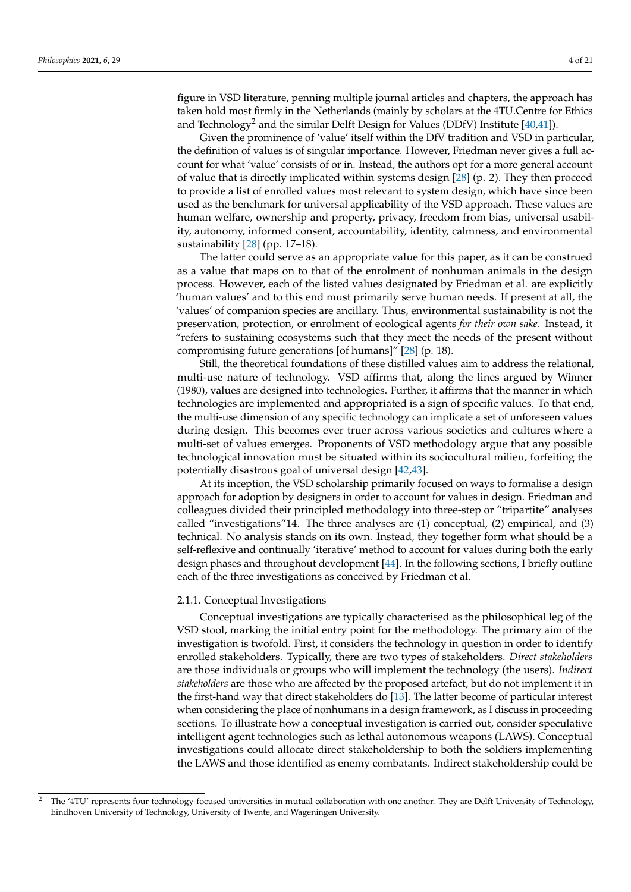figure in VSD literature, penning multiple journal articles and chapters, the approach has taken hold most firmly in the Netherlands (mainly by scholars at the 4TU.Centre for Ethics and Technology<sup>2</sup> and the similar Delft Design for Values (DDfV) Institute  $[40,41]$  $[40,41]$ ).

Given the prominence of 'value' itself within the DfV tradition and VSD in particular, the definition of values is of singular importance. However, Friedman never gives a full account for what 'value' consists of or in. Instead, the authors opt for a more general account of value that is directly implicated within systems design [\[28\]](#page-17-22) (p. 2). They then proceed to provide a list of enrolled values most relevant to system design, which have since been used as the benchmark for universal applicability of the VSD approach. These values are human welfare, ownership and property, privacy, freedom from bias, universal usability, autonomy, informed consent, accountability, identity, calmness, and environmental sustainability [\[28\]](#page-17-22) (pp. 17–18).

The latter could serve as an appropriate value for this paper, as it can be construed as a value that maps on to that of the enrolment of nonhuman animals in the design process. However, each of the listed values designated by Friedman et al. are explicitly 'human values' and to this end must primarily serve human needs. If present at all, the 'values' of companion species are ancillary. Thus, environmental sustainability is not the preservation, protection, or enrolment of ecological agents *for their own sake*. Instead, it "refers to sustaining ecosystems such that they meet the needs of the present without compromising future generations [of humans]" [\[28\]](#page-17-22) (p. 18).

Still, the theoretical foundations of these distilled values aim to address the relational, multi-use nature of technology. VSD affirms that, along the lines argued by Winner (1980), values are designed into technologies. Further, it affirms that the manner in which technologies are implemented and appropriated is a sign of specific values. To that end, the multi-use dimension of any specific technology can implicate a set of unforeseen values during design. This becomes ever truer across various societies and cultures where a multi-set of values emerges. Proponents of VSD methodology argue that any possible technological innovation must be situated within its sociocultural milieu, forfeiting the potentially disastrous goal of universal design [\[42,](#page-18-7)[43\]](#page-18-8).

At its inception, the VSD scholarship primarily focused on ways to formalise a design approach for adoption by designers in order to account for values in design. Friedman and colleagues divided their principled methodology into three-step or "tripartite" analyses called "investigations"14. The three analyses are (1) conceptual, (2) empirical, and (3) technical. No analysis stands on its own. Instead, they together form what should be a self-reflexive and continually 'iterative' method to account for values during both the early design phases and throughout development [\[44\]](#page-18-9). In the following sections, I briefly outline each of the three investigations as conceived by Friedman et al.

## 2.1.1. Conceptual Investigations

Conceptual investigations are typically characterised as the philosophical leg of the VSD stool, marking the initial entry point for the methodology. The primary aim of the investigation is twofold. First, it considers the technology in question in order to identify enrolled stakeholders. Typically, there are two types of stakeholders. *Direct stakeholders* are those individuals or groups who will implement the technology (the users). *Indirect stakeholders* are those who are affected by the proposed artefact, but do not implement it in the first-hand way that direct stakeholders do [\[13\]](#page-17-12). The latter become of particular interest when considering the place of nonhumans in a design framework, as I discuss in proceeding sections. To illustrate how a conceptual investigation is carried out, consider speculative intelligent agent technologies such as lethal autonomous weapons (LAWS). Conceptual investigations could allocate direct stakeholdership to both the soldiers implementing the LAWS and those identified as enemy combatants. Indirect stakeholdership could be

<sup>2</sup> The '4TU' represents four technology-focused universities in mutual collaboration with one another. They are Delft University of Technology, Eindhoven University of Technology, University of Twente, and Wageningen University.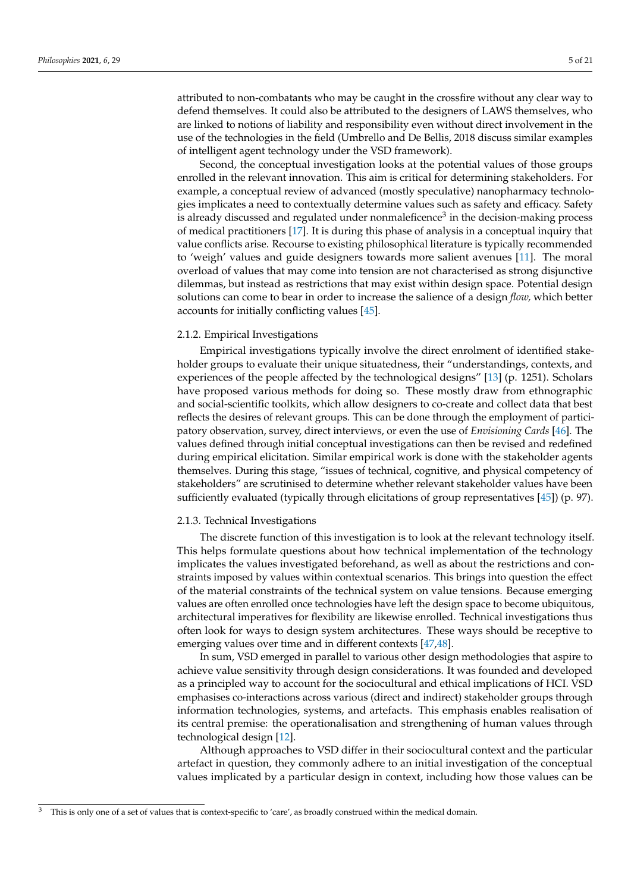attributed to non-combatants who may be caught in the crossfire without any clear way to defend themselves. It could also be attributed to the designers of LAWS themselves, who are linked to notions of liability and responsibility even without direct involvement in the use of the technologies in the field (Umbrello and De Bellis, 2018 discuss similar examples of intelligent agent technology under the VSD framework).

Second, the conceptual investigation looks at the potential values of those groups enrolled in the relevant innovation. This aim is critical for determining stakeholders. For example, a conceptual review of advanced (mostly speculative) nanopharmacy technologies implicates a need to contextually determine values such as safety and efficacy. Safety is already discussed and regulated under nonmaleficence<sup>3</sup> in the decision-making process of medical practitioners [\[17\]](#page-17-15). It is during this phase of analysis in a conceptual inquiry that value conflicts arise. Recourse to existing philosophical literature is typically recommended to 'weigh' values and guide designers towards more salient avenues [\[11\]](#page-17-10). The moral overload of values that may come into tension are not characterised as strong disjunctive dilemmas, but instead as restrictions that may exist within design space. Potential design solutions can come to bear in order to increase the salience of a design *flow,* which better accounts for initially conflicting values [\[45\]](#page-18-10).

#### 2.1.2. Empirical Investigations

Empirical investigations typically involve the direct enrolment of identified stakeholder groups to evaluate their unique situatedness, their "understandings, contexts, and experiences of the people affected by the technological designs" [\[13\]](#page-17-12) (p. 1251). Scholars have proposed various methods for doing so. These mostly draw from ethnographic and social-scientific toolkits, which allow designers to co-create and collect data that best reflects the desires of relevant groups. This can be done through the employment of participatory observation, survey, direct interviews, or even the use of *Envisioning Cards* [\[46\]](#page-18-11). The values defined through initial conceptual investigations can then be revised and redefined during empirical elicitation. Similar empirical work is done with the stakeholder agents themselves. During this stage, "issues of technical, cognitive, and physical competency of stakeholders" are scrutinised to determine whether relevant stakeholder values have been sufficiently evaluated (typically through elicitations of group representatives [\[45\]](#page-18-10)) (p. 97).

#### 2.1.3. Technical Investigations

The discrete function of this investigation is to look at the relevant technology itself. This helps formulate questions about how technical implementation of the technology implicates the values investigated beforehand, as well as about the restrictions and constraints imposed by values within contextual scenarios. This brings into question the effect of the material constraints of the technical system on value tensions. Because emerging values are often enrolled once technologies have left the design space to become ubiquitous, architectural imperatives for flexibility are likewise enrolled. Technical investigations thus often look for ways to design system architectures. These ways should be receptive to emerging values over time and in different contexts [\[47](#page-18-12)[,48\]](#page-18-13).

In sum, VSD emerged in parallel to various other design methodologies that aspire to achieve value sensitivity through design considerations. It was founded and developed as a principled way to account for the sociocultural and ethical implications of HCI. VSD emphasises co-interactions across various (direct and indirect) stakeholder groups through information technologies, systems, and artefacts. This emphasis enables realisation of its central premise: the operationalisation and strengthening of human values through technological design [\[12\]](#page-17-11).

Although approaches to VSD differ in their sociocultural context and the particular artefact in question, they commonly adhere to an initial investigation of the conceptual values implicated by a particular design in context, including how those values can be

<sup>&</sup>lt;sup>3</sup> This is only one of a set of values that is context-specific to 'care', as broadly construed within the medical domain.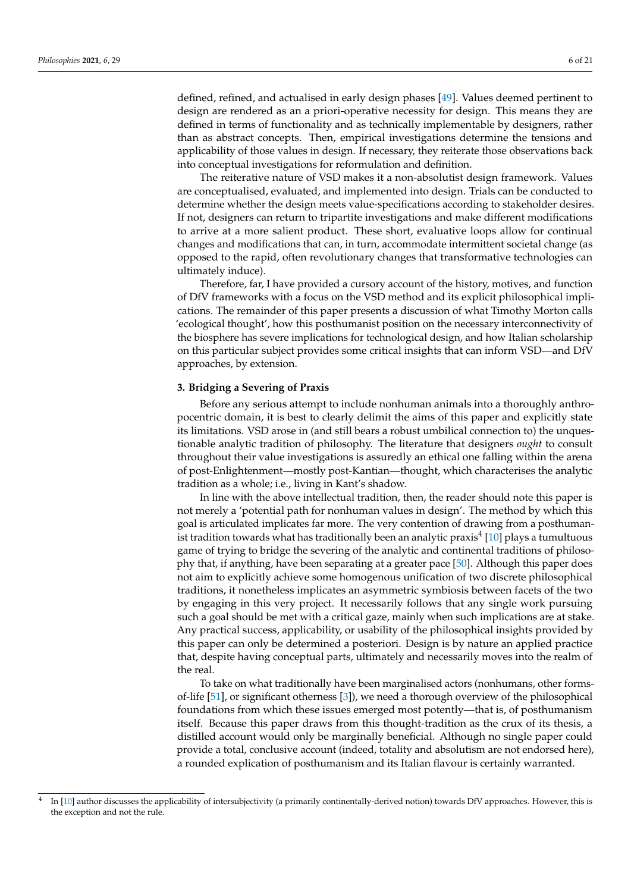defined, refined, and actualised in early design phases [\[49\]](#page-18-14). Values deemed pertinent to design are rendered as an a priori-operative necessity for design. This means they are defined in terms of functionality and as technically implementable by designers, rather than as abstract concepts. Then, empirical investigations determine the tensions and applicability of those values in design. If necessary, they reiterate those observations back into conceptual investigations for reformulation and definition.

The reiterative nature of VSD makes it a non-absolutist design framework. Values are conceptualised, evaluated, and implemented into design. Trials can be conducted to determine whether the design meets value-specifications according to stakeholder desires. If not, designers can return to tripartite investigations and make different modifications to arrive at a more salient product. These short, evaluative loops allow for continual changes and modifications that can, in turn, accommodate intermittent societal change (as opposed to the rapid, often revolutionary changes that transformative technologies can ultimately induce).

Therefore, far, I have provided a cursory account of the history, motives, and function of DfV frameworks with a focus on the VSD method and its explicit philosophical implications. The remainder of this paper presents a discussion of what Timothy Morton calls 'ecological thought', how this posthumanist position on the necessary interconnectivity of the biosphere has severe implications for technological design, and how Italian scholarship on this particular subject provides some critical insights that can inform VSD—and DfV approaches, by extension.

## <span id="page-5-0"></span>**3. Bridging a Severing of Praxis**

Before any serious attempt to include nonhuman animals into a thoroughly anthropocentric domain, it is best to clearly delimit the aims of this paper and explicitly state its limitations. VSD arose in (and still bears a robust umbilical connection to) the unquestionable analytic tradition of philosophy. The literature that designers *ought* to consult throughout their value investigations is assuredly an ethical one falling within the arena of post-Enlightenment—mostly post-Kantian—thought, which characterises the analytic tradition as a whole; i.e., living in Kant's shadow.

In line with the above intellectual tradition, then, the reader should note this paper is not merely a 'potential path for nonhuman values in design'. The method by which this goal is articulated implicates far more. The very contention of drawing from a posthumanist tradition towards what has traditionally been an analytic praxis $^4$  [\[10\]](#page-17-9) plays a tumultuous game of trying to bridge the severing of the analytic and continental traditions of philosophy that, if anything, have been separating at a greater pace [\[50\]](#page-18-15). Although this paper does not aim to explicitly achieve some homogenous unification of two discrete philosophical traditions, it nonetheless implicates an asymmetric symbiosis between facets of the two by engaging in this very project. It necessarily follows that any single work pursuing such a goal should be met with a critical gaze, mainly when such implications are at stake. Any practical success, applicability, or usability of the philosophical insights provided by this paper can only be determined a posteriori. Design is by nature an applied practice that, despite having conceptual parts, ultimately and necessarily moves into the realm of the real.

To take on what traditionally have been marginalised actors (nonhumans, other formsof-life [\[51\]](#page-18-16), or significant otherness [\[3\]](#page-17-2)), we need a thorough overview of the philosophical foundations from which these issues emerged most potently—that is, of posthumanism itself. Because this paper draws from this thought-tradition as the crux of its thesis, a distilled account would only be marginally beneficial. Although no single paper could provide a total, conclusive account (indeed, totality and absolutism are not endorsed here), a rounded explication of posthumanism and its Italian flavour is certainly warranted.

<sup>4</sup> In [\[10\]](#page-17-9) author discusses the applicability of intersubjectivity (a primarily continentally-derived notion) towards DfV approaches. However, this is the exception and not the rule.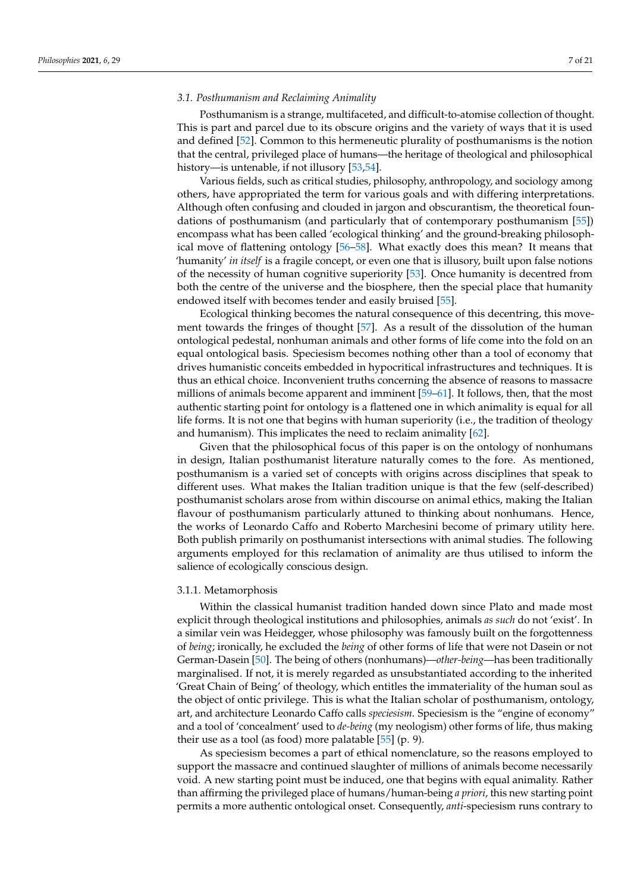### *3.1. Posthumanism and Reclaiming Animality*

Posthumanism is a strange, multifaceted, and difficult-to-atomise collection of thought. This is part and parcel due to its obscure origins and the variety of ways that it is used and defined [\[52\]](#page-18-17). Common to this hermeneutic plurality of posthumanisms is the notion that the central, privileged place of humans—the heritage of theological and philosophical history—is untenable, if not illusory [\[53](#page-18-18)[,54\]](#page-18-19).

Various fields, such as critical studies, philosophy, anthropology, and sociology among others, have appropriated the term for various goals and with differing interpretations. Although often confusing and clouded in jargon and obscurantism, the theoretical foundations of posthumanism (and particularly that of contemporary posthumanism [\[55\]](#page-18-20)) encompass what has been called 'ecological thinking' and the ground-breaking philosophical move of flattening ontology [\[56](#page-18-21)[–58\]](#page-18-22). What exactly does this mean? It means that 'humanity' *in itself* is a fragile concept, or even one that is illusory, built upon false notions of the necessity of human cognitive superiority [\[53\]](#page-18-18). Once humanity is decentred from both the centre of the universe and the biosphere, then the special place that humanity endowed itself with becomes tender and easily bruised [\[55\]](#page-18-20).

Ecological thinking becomes the natural consequence of this decentring, this movement towards the fringes of thought [\[57\]](#page-18-23). As a result of the dissolution of the human ontological pedestal, nonhuman animals and other forms of life come into the fold on an equal ontological basis. Speciesism becomes nothing other than a tool of economy that drives humanistic conceits embedded in hypocritical infrastructures and techniques. It is thus an ethical choice. Inconvenient truths concerning the absence of reasons to massacre millions of animals become apparent and imminent [\[59–](#page-18-24)[61\]](#page-18-25). It follows, then, that the most authentic starting point for ontology is a flattened one in which animality is equal for all life forms. It is not one that begins with human superiority (i.e., the tradition of theology and humanism). This implicates the need to reclaim animality [\[62\]](#page-18-26).

Given that the philosophical focus of this paper is on the ontology of nonhumans in design, Italian posthumanist literature naturally comes to the fore. As mentioned, posthumanism is a varied set of concepts with origins across disciplines that speak to different uses. What makes the Italian tradition unique is that the few (self-described) posthumanist scholars arose from within discourse on animal ethics, making the Italian flavour of posthumanism particularly attuned to thinking about nonhumans. Hence, the works of Leonardo Caffo and Roberto Marchesini become of primary utility here. Both publish primarily on posthumanist intersections with animal studies. The following arguments employed for this reclamation of animality are thus utilised to inform the salience of ecologically conscious design.

#### 3.1.1. Metamorphosis

Within the classical humanist tradition handed down since Plato and made most explicit through theological institutions and philosophies, animals *as such* do not 'exist'. In a similar vein was Heidegger, whose philosophy was famously built on the forgottenness of *being*; ironically, he excluded the *being* of other forms of life that were not Dasein or not German-Dasein [\[50\]](#page-18-15). The being of others (nonhumans)—*other-being*—has been traditionally marginalised. If not, it is merely regarded as unsubstantiated according to the inherited 'Great Chain of Being' of theology, which entitles the immateriality of the human soul as the object of ontic privilege. This is what the Italian scholar of posthumanism, ontology, art, and architecture Leonardo Caffo calls *speciesism*. Speciesism is the "engine of economy" and a tool of 'concealment' used to *de-being* (my neologism) other forms of life, thus making their use as a tool (as food) more palatable [\[55\]](#page-18-20) (p. 9).

As speciesism becomes a part of ethical nomenclature, so the reasons employed to support the massacre and continued slaughter of millions of animals become necessarily void. A new starting point must be induced, one that begins with equal animality. Rather than affirming the privileged place of humans/human-being *a priori*, this new starting point permits a more authentic ontological onset. Consequently, *anti*-speciesism runs contrary to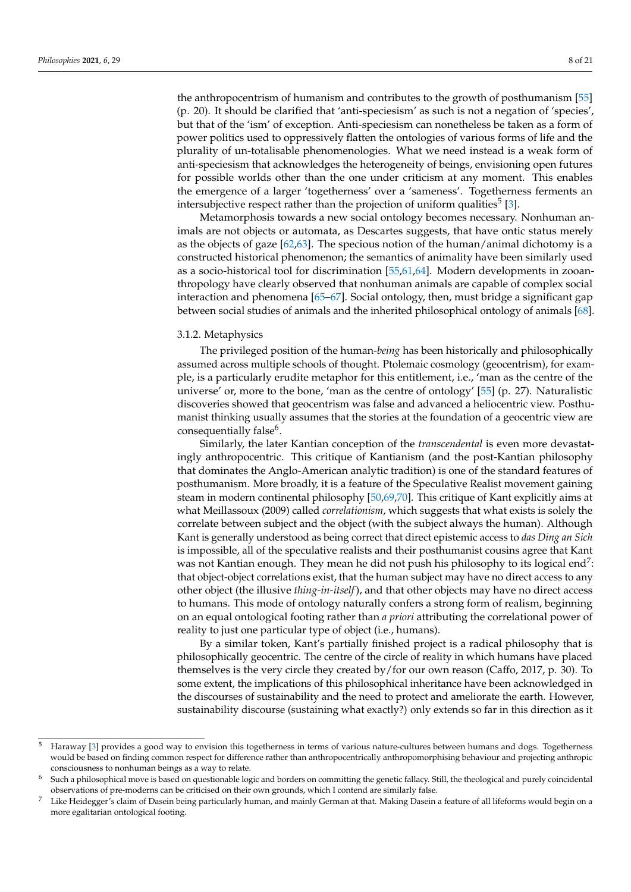the anthropocentrism of humanism and contributes to the growth of posthumanism [\[55\]](#page-18-20) (p. 20). It should be clarified that 'anti-speciesism' as such is not a negation of 'species', but that of the 'ism' of exception. Anti-speciesism can nonetheless be taken as a form of power politics used to oppressively flatten the ontologies of various forms of life and the plurality of un-totalisable phenomenologies. What we need instead is a weak form of anti-speciesism that acknowledges the heterogeneity of beings, envisioning open futures for possible worlds other than the one under criticism at any moment. This enables the emergence of a larger 'togetherness' over a 'sameness'. Togetherness ferments an intersubjective respect rather than the projection of uniform qualities<sup>5</sup> [\[3\]](#page-17-2).

Metamorphosis towards a new social ontology becomes necessary. Nonhuman animals are not objects or automata, as Descartes suggests, that have ontic status merely as the objects of gaze [\[62,](#page-18-26)[63\]](#page-18-27). The specious notion of the human/animal dichotomy is a constructed historical phenomenon; the semantics of animality have been similarly used as a socio-historical tool for discrimination [\[55,](#page-18-20)[61](#page-18-25)[,64\]](#page-18-28). Modern developments in zooanthropology have clearly observed that nonhuman animals are capable of complex social interaction and phenomena  $[65–67]$  $[65–67]$ . Social ontology, then, must bridge a significant gap between social studies of animals and the inherited philosophical ontology of animals [\[68\]](#page-18-31).

#### 3.1.2. Metaphysics

The privileged position of the human-*being* has been historically and philosophically assumed across multiple schools of thought. Ptolemaic cosmology (geocentrism), for example, is a particularly erudite metaphor for this entitlement, i.e., 'man as the centre of the universe' or, more to the bone, 'man as the centre of ontology' [\[55\]](#page-18-20) (p. 27). Naturalistic discoveries showed that geocentrism was false and advanced a heliocentric view. Posthumanist thinking usually assumes that the stories at the foundation of a geocentric view are consequentially false<sup>6</sup>.

Similarly, the later Kantian conception of the *transcendental* is even more devastatingly anthropocentric. This critique of Kantianism (and the post-Kantian philosophy that dominates the Anglo-American analytic tradition) is one of the standard features of posthumanism. More broadly, it is a feature of the Speculative Realist movement gaining steam in modern continental philosophy [\[50](#page-18-15)[,69,](#page-18-32)[70\]](#page-18-33). This critique of Kant explicitly aims at what Meillassoux (2009) called *correlationism*, which suggests that what exists is solely the correlate between subject and the object (with the subject always the human). Although Kant is generally understood as being correct that direct epistemic access to *das Ding an Sich* is impossible, all of the speculative realists and their posthumanist cousins agree that Kant was not Kantian enough. They mean he did not push his philosophy to its logical end<sup>7</sup>: that object-object correlations exist, that the human subject may have no direct access to any other object (the illusive *thing-in-itself*), and that other objects may have no direct access to humans. This mode of ontology naturally confers a strong form of realism, beginning on an equal ontological footing rather than *a priori* attributing the correlational power of reality to just one particular type of object (i.e., humans).

By a similar token, Kant's partially finished project is a radical philosophy that is philosophically geocentric. The centre of the circle of reality in which humans have placed themselves is the very circle they created by/for our own reason (Caffo, 2017, p. 30). To some extent, the implications of this philosophical inheritance have been acknowledged in the discourses of sustainability and the need to protect and ameliorate the earth. However, sustainability discourse (sustaining what exactly?) only extends so far in this direction as it

Haraway [\[3\]](#page-17-2) provides a good way to envision this togetherness in terms of various nature-cultures between humans and dogs. Togetherness would be based on finding common respect for difference rather than anthropocentrically anthropomorphising behaviour and projecting anthropic consciousness to nonhuman beings as a way to relate.

<sup>6</sup> Such a philosophical move is based on questionable logic and borders on committing the genetic fallacy. Still, the theological and purely coincidental observations of pre-moderns can be criticised on their own grounds, which I contend are similarly false.

<sup>7</sup> Like Heidegger's claim of Dasein being particularly human, and mainly German at that. Making Dasein a feature of all lifeforms would begin on a more egalitarian ontological footing.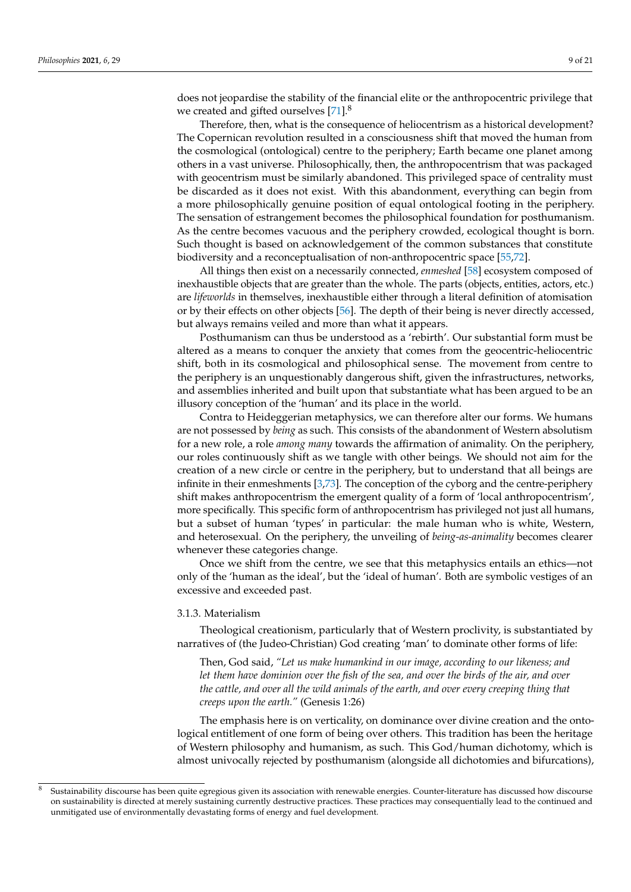does not jeopardise the stability of the financial elite or the anthropocentric privilege that we created and gifted ourselves [\[71\]](#page-18-34).<sup>8</sup>

Therefore, then, what is the consequence of heliocentrism as a historical development? The Copernican revolution resulted in a consciousness shift that moved the human from the cosmological (ontological) centre to the periphery; Earth became one planet among others in a vast universe. Philosophically, then, the anthropocentrism that was packaged with geocentrism must be similarly abandoned. This privileged space of centrality must be discarded as it does not exist. With this abandonment, everything can begin from a more philosophically genuine position of equal ontological footing in the periphery. The sensation of estrangement becomes the philosophical foundation for posthumanism. As the centre becomes vacuous and the periphery crowded, ecological thought is born. Such thought is based on acknowledgement of the common substances that constitute biodiversity and a reconceptualisation of non-anthropocentric space [\[55](#page-18-20)[,72\]](#page-19-0).

All things then exist on a necessarily connected, *enmeshed* [\[58\]](#page-18-22) ecosystem composed of inexhaustible objects that are greater than the whole. The parts (objects, entities, actors, etc.) are *lifeworlds* in themselves, inexhaustible either through a literal definition of atomisation or by their effects on other objects [\[56\]](#page-18-21). The depth of their being is never directly accessed, but always remains veiled and more than what it appears.

Posthumanism can thus be understood as a 'rebirth'. Our substantial form must be altered as a means to conquer the anxiety that comes from the geocentric-heliocentric shift, both in its cosmological and philosophical sense. The movement from centre to the periphery is an unquestionably dangerous shift, given the infrastructures, networks, and assemblies inherited and built upon that substantiate what has been argued to be an illusory conception of the 'human' and its place in the world.

Contra to Heideggerian metaphysics, we can therefore alter our forms. We humans are not possessed by *being* as such. This consists of the abandonment of Western absolutism for a new role, a role *among many* towards the affirmation of animality. On the periphery, our roles continuously shift as we tangle with other beings. We should not aim for the creation of a new circle or centre in the periphery, but to understand that all beings are infinite in their enmeshments [\[3](#page-17-2)[,73\]](#page-19-1). The conception of the cyborg and the centre-periphery shift makes anthropocentrism the emergent quality of a form of 'local anthropocentrism', more specifically. This specific form of anthropocentrism has privileged not just all humans, but a subset of human 'types' in particular: the male human who is white, Western, and heterosexual. On the periphery, the unveiling of *being-as-animality* becomes clearer whenever these categories change.

Once we shift from the centre, we see that this metaphysics entails an ethics—not only of the 'human as the ideal', but the 'ideal of human'. Both are symbolic vestiges of an excessive and exceeded past.

#### 3.1.3. Materialism

Theological creationism, particularly that of Western proclivity, is substantiated by narratives of (the Judeo-Christian) God creating 'man' to dominate other forms of life:

Then, God said, *"Let us make humankind in our image, according to our likeness; and let them have dominion over the fish of the sea, and over the birds of the air, and over the cattle, and over all the wild animals of the earth, and over every creeping thing that creeps upon the earth."* (Genesis 1:26)

The emphasis here is on verticality, on dominance over divine creation and the ontological entitlement of one form of being over others. This tradition has been the heritage of Western philosophy and humanism, as such. This God/human dichotomy, which is almost univocally rejected by posthumanism (alongside all dichotomies and bifurcations),

<sup>8</sup> Sustainability discourse has been quite egregious given its association with renewable energies. Counter-literature has discussed how discourse on sustainability is directed at merely sustaining currently destructive practices. These practices may consequentially lead to the continued and unmitigated use of environmentally devastating forms of energy and fuel development.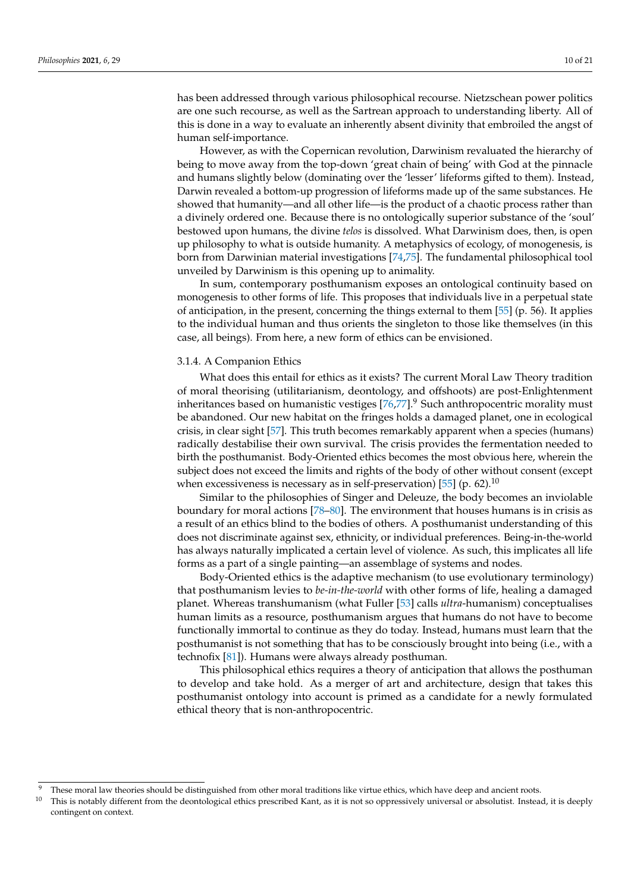has been addressed through various philosophical recourse. Nietzschean power politics are one such recourse, as well as the Sartrean approach to understanding liberty. All of this is done in a way to evaluate an inherently absent divinity that embroiled the angst of human self-importance.

However, as with the Copernican revolution, Darwinism revaluated the hierarchy of being to move away from the top-down 'great chain of being' with God at the pinnacle and humans slightly below (dominating over the 'lesser' lifeforms gifted to them). Instead, Darwin revealed a bottom-up progression of lifeforms made up of the same substances. He showed that humanity—and all other life—is the product of a chaotic process rather than a divinely ordered one. Because there is no ontologically superior substance of the 'soul' bestowed upon humans, the divine *telos* is dissolved. What Darwinism does, then, is open up philosophy to what is outside humanity. A metaphysics of ecology, of monogenesis, is born from Darwinian material investigations [\[74](#page-19-2)[,75\]](#page-19-3). The fundamental philosophical tool unveiled by Darwinism is this opening up to animality.

In sum, contemporary posthumanism exposes an ontological continuity based on monogenesis to other forms of life. This proposes that individuals live in a perpetual state of anticipation, in the present, concerning the things external to them [\[55\]](#page-18-20) (p. 56). It applies to the individual human and thus orients the singleton to those like themselves (in this case, all beings). From here, a new form of ethics can be envisioned.

#### 3.1.4. A Companion Ethics

What does this entail for ethics as it exists? The current Moral Law Theory tradition of moral theorising (utilitarianism, deontology, and offshoots) are post-Enlightenment inheritances based on humanistic vestiges  $[76,77]$  $[76,77]$ .<sup>9</sup> Such anthropocentric morality must be abandoned. Our new habitat on the fringes holds a damaged planet, one in ecological crisis, in clear sight [\[57\]](#page-18-23). This truth becomes remarkably apparent when a species (humans) radically destabilise their own survival. The crisis provides the fermentation needed to birth the posthumanist. Body-Oriented ethics becomes the most obvious here, wherein the subject does not exceed the limits and rights of the body of other without consent (except when excessiveness is necessary as in self-preservation) [\[55\]](#page-18-20) (p. 62).<sup>10</sup>

Similar to the philosophies of Singer and Deleuze, the body becomes an inviolable boundary for moral actions [\[78](#page-19-6)[–80\]](#page-19-7). The environment that houses humans is in crisis as a result of an ethics blind to the bodies of others. A posthumanist understanding of this does not discriminate against sex, ethnicity, or individual preferences. Being-in-the-world has always naturally implicated a certain level of violence. As such, this implicates all life forms as a part of a single painting—an assemblage of systems and nodes.

Body-Oriented ethics is the adaptive mechanism (to use evolutionary terminology) that posthumanism levies to *be-in-the-world* with other forms of life, healing a damaged planet. Whereas transhumanism (what Fuller [\[53\]](#page-18-18) calls *ultra*-humanism) conceptualises human limits as a resource, posthumanism argues that humans do not have to become functionally immortal to continue as they do today. Instead, humans must learn that the posthumanist is not something that has to be consciously brought into being (i.e., with a technofix [\[81\]](#page-19-8)). Humans were always already posthuman.

This philosophical ethics requires a theory of anticipation that allows the posthuman to develop and take hold. As a merger of art and architecture, design that takes this posthumanist ontology into account is primed as a candidate for a newly formulated ethical theory that is non-anthropocentric.

These moral law theories should be distinguished from other moral traditions like virtue ethics, which have deep and ancient roots.

<sup>10</sup> This is notably different from the deontological ethics prescribed Kant, as it is not so oppressively universal or absolutist. Instead, it is deeply contingent on context.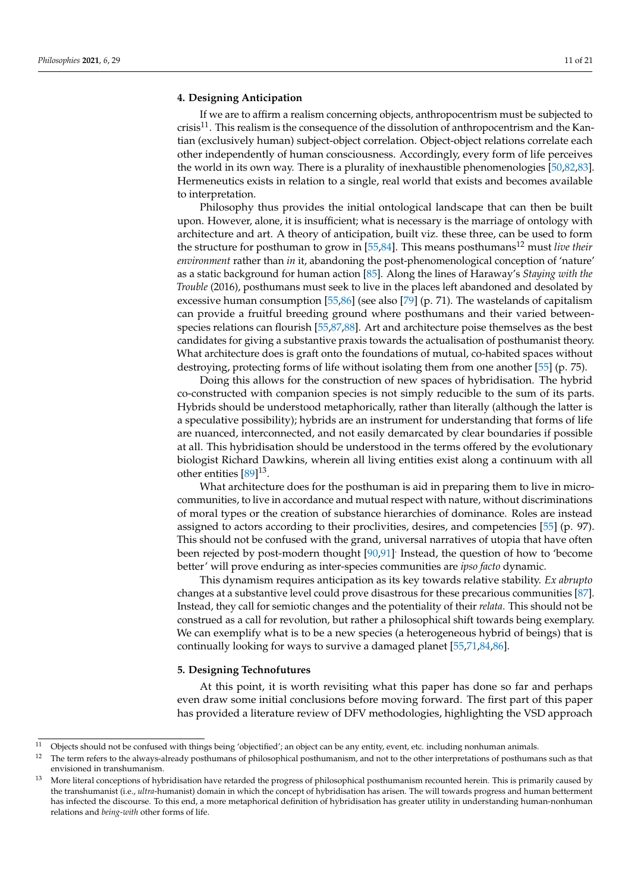## <span id="page-10-0"></span>**4. Designing Anticipation**

If we are to affirm a realism concerning objects, anthropocentrism must be subjected to crisis<sup>11</sup>. This realism is the consequence of the dissolution of anthropocentrism and the Kantian (exclusively human) subject-object correlation. Object-object relations correlate each other independently of human consciousness. Accordingly, every form of life perceives the world in its own way. There is a plurality of inexhaustible phenomenologies [\[50](#page-18-15)[,82](#page-19-9)[,83\]](#page-19-10). Hermeneutics exists in relation to a single, real world that exists and becomes available to interpretation.

Philosophy thus provides the initial ontological landscape that can then be built upon. However, alone, it is insufficient; what is necessary is the marriage of ontology with architecture and art. A theory of anticipation, built viz. these three, can be used to form the structure for posthuman to grow in [\[55,](#page-18-20)[84\]](#page-19-11). This means posthumans<sup>12</sup> must *live their environment* rather than *in* it, abandoning the post-phenomenological conception of 'nature' as a static background for human action [\[85\]](#page-19-12). Along the lines of Haraway's *Staying with the Trouble* (2016), posthumans must seek to live in the places left abandoned and desolated by excessive human consumption [\[55](#page-18-20)[,86\]](#page-19-13) (see also [\[79\]](#page-19-14) (p. 71). The wastelands of capitalism can provide a fruitful breeding ground where posthumans and their varied betweenspecies relations can flourish [\[55](#page-18-20)[,87](#page-19-15)[,88\]](#page-19-16). Art and architecture poise themselves as the best candidates for giving a substantive praxis towards the actualisation of posthumanist theory. What architecture does is graft onto the foundations of mutual, co-habited spaces without destroying, protecting forms of life without isolating them from one another [\[55\]](#page-18-20) (p. 75).

Doing this allows for the construction of new spaces of hybridisation. The hybrid co-constructed with companion species is not simply reducible to the sum of its parts. Hybrids should be understood metaphorically, rather than literally (although the latter is a speculative possibility); hybrids are an instrument for understanding that forms of life are nuanced, interconnected, and not easily demarcated by clear boundaries if possible at all. This hybridisation should be understood in the terms offered by the evolutionary biologist Richard Dawkins, wherein all living entities exist along a continuum with all other entities [\[89\]](#page-19-17)<sup>13</sup>.

What architecture does for the posthuman is aid in preparing them to live in microcommunities, to live in accordance and mutual respect with nature, without discriminations of moral types or the creation of substance hierarchies of dominance. Roles are instead assigned to actors according to their proclivities, desires, and competencies [\[55\]](#page-18-20) (p. 97). This should not be confused with the grand, universal narratives of utopia that have often been rejected by post-modern thought [\[90](#page-19-18)[,91\]](#page-19-19) Instead, the question of how to 'become better' will prove enduring as inter-species communities are *ipso facto* dynamic.

This dynamism requires anticipation as its key towards relative stability. *Ex abrupto* changes at a substantive level could prove disastrous for these precarious communities [\[87\]](#page-19-15). Instead, they call for semiotic changes and the potentiality of their *relata*. This should not be construed as a call for revolution, but rather a philosophical shift towards being exemplary. We can exemplify what is to be a new species (a heterogeneous hybrid of beings) that is continually looking for ways to survive a damaged planet [\[55](#page-18-20)[,71](#page-18-34)[,84](#page-19-11)[,86\]](#page-19-13).

#### <span id="page-10-1"></span>**5. Designing Technofutures**

At this point, it is worth revisiting what this paper has done so far and perhaps even draw some initial conclusions before moving forward. The first part of this paper has provided a literature review of DFV methodologies, highlighting the VSD approach

<sup>&</sup>lt;sup>11</sup> Objects should not be confused with things being 'objectified'; an object can be any entity, event, etc. including nonhuman animals.

 $12$  The term refers to the always-already posthumans of philosophical posthumanism, and not to the other interpretations of posthumans such as that envisioned in transhumanism.

<sup>&</sup>lt;sup>13</sup> More literal conceptions of hybridisation have retarded the progress of philosophical posthumanism recounted herein. This is primarily caused by the transhumanist (i.e., *ultra*-humanist) domain in which the concept of hybridisation has arisen. The will towards progress and human betterment has infected the discourse. To this end, a more metaphorical definition of hybridisation has greater utility in understanding human-nonhuman relations and *being-with* other forms of life.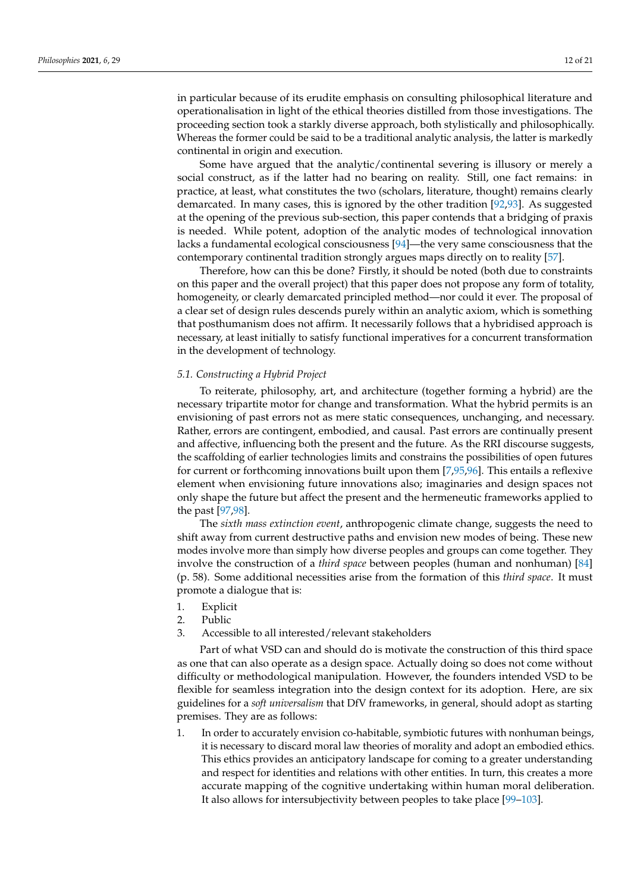in particular because of its erudite emphasis on consulting philosophical literature and operationalisation in light of the ethical theories distilled from those investigations. The proceeding section took a starkly diverse approach, both stylistically and philosophically. Whereas the former could be said to be a traditional analytic analysis, the latter is markedly continental in origin and execution.

Some have argued that the analytic/continental severing is illusory or merely a social construct, as if the latter had no bearing on reality. Still, one fact remains: in practice, at least, what constitutes the two (scholars, literature, thought) remains clearly demarcated. In many cases, this is ignored by the other tradition [\[92](#page-19-20)[,93\]](#page-19-21). As suggested at the opening of the previous sub-section, this paper contends that a bridging of praxis is needed. While potent, adoption of the analytic modes of technological innovation lacks a fundamental ecological consciousness [\[94\]](#page-19-22)—the very same consciousness that the contemporary continental tradition strongly argues maps directly on to reality [\[57\]](#page-18-23).

Therefore, how can this be done? Firstly, it should be noted (both due to constraints on this paper and the overall project) that this paper does not propose any form of totality, homogeneity, or clearly demarcated principled method—nor could it ever. The proposal of a clear set of design rules descends purely within an analytic axiom, which is something that posthumanism does not affirm. It necessarily follows that a hybridised approach is necessary, at least initially to satisfy functional imperatives for a concurrent transformation in the development of technology.

## *5.1. Constructing a Hybrid Project*

To reiterate, philosophy, art, and architecture (together forming a hybrid) are the necessary tripartite motor for change and transformation. What the hybrid permits is an envisioning of past errors not as mere static consequences, unchanging, and necessary. Rather, errors are contingent, embodied, and causal. Past errors are continually present and affective, influencing both the present and the future. As the RRI discourse suggests, the scaffolding of earlier technologies limits and constrains the possibilities of open futures for current or forthcoming innovations built upon them [\[7](#page-17-6)[,95](#page-19-23)[,96\]](#page-19-24). This entails a reflexive element when envisioning future innovations also; imaginaries and design spaces not only shape the future but affect the present and the hermeneutic frameworks applied to the past [\[97](#page-19-25)[,98\]](#page-19-26).

The *sixth mass extinction event*, anthropogenic climate change, suggests the need to shift away from current destructive paths and envision new modes of being. These new modes involve more than simply how diverse peoples and groups can come together. They involve the construction of a *third space* between peoples (human and nonhuman) [\[84\]](#page-19-11) (p. 58). Some additional necessities arise from the formation of this *third space*. It must promote a dialogue that is:

- 1. Explicit
- 2. Public
- 3. Accessible to all interested/relevant stakeholders

Part of what VSD can and should do is motivate the construction of this third space as one that can also operate as a design space. Actually doing so does not come without difficulty or methodological manipulation. However, the founders intended VSD to be flexible for seamless integration into the design context for its adoption. Here, are six guidelines for a *soft universalism* that DfV frameworks, in general, should adopt as starting premises. They are as follows:

1. In order to accurately envision co-habitable, symbiotic futures with nonhuman beings, it is necessary to discard moral law theories of morality and adopt an embodied ethics. This ethics provides an anticipatory landscape for coming to a greater understanding and respect for identities and relations with other entities. In turn, this creates a more accurate mapping of the cognitive undertaking within human moral deliberation. It also allows for intersubjectivity between peoples to take place [\[99](#page-19-27)[–103\]](#page-19-28).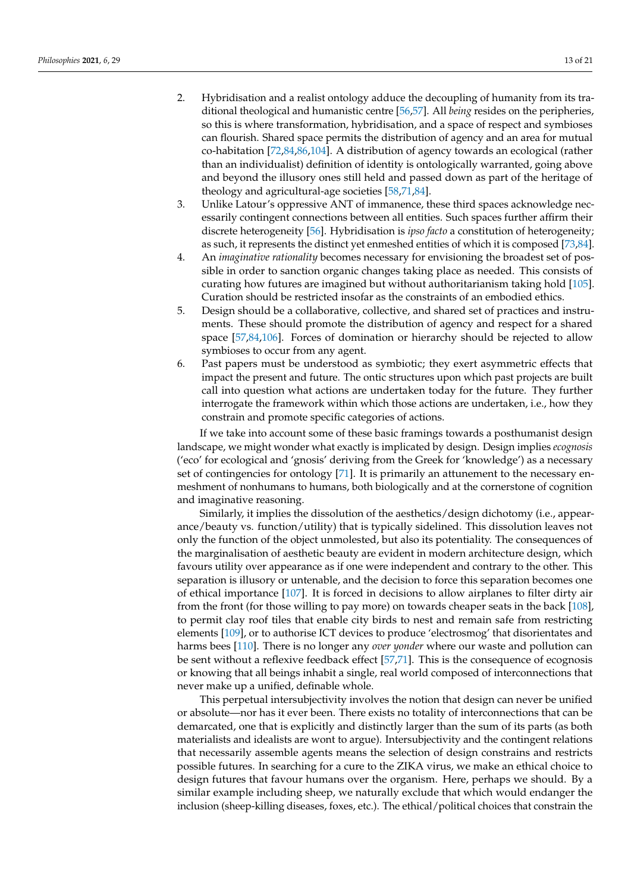- 2. Hybridisation and a realist ontology adduce the decoupling of humanity from its traditional theological and humanistic centre [\[56](#page-18-21)[,57\]](#page-18-23). All *being* resides on the peripheries, so this is where transformation, hybridisation, and a space of respect and symbioses can flourish. Shared space permits the distribution of agency and an area for mutual co-habitation [\[72](#page-19-0)[,84](#page-19-11)[,86](#page-19-13)[,104\]](#page-19-29). A distribution of agency towards an ecological (rather than an individualist) definition of identity is ontologically warranted, going above and beyond the illusory ones still held and passed down as part of the heritage of theology and agricultural-age societies [\[58](#page-18-22)[,71](#page-18-34)[,84\]](#page-19-11).
- 3. Unlike Latour's oppressive ANT of immanence, these third spaces acknowledge necessarily contingent connections between all entities. Such spaces further affirm their discrete heterogeneity [\[56\]](#page-18-21). Hybridisation is *ipso facto* a constitution of heterogeneity; as such, it represents the distinct yet enmeshed entities of which it is composed [\[73](#page-19-1)[,84\]](#page-19-11).
- 4. An *imaginative rationality* becomes necessary for envisioning the broadest set of possible in order to sanction organic changes taking place as needed. This consists of curating how futures are imagined but without authoritarianism taking hold [\[105\]](#page-19-30). Curation should be restricted insofar as the constraints of an embodied ethics.
- 5. Design should be a collaborative, collective, and shared set of practices and instruments. These should promote the distribution of agency and respect for a shared space [\[57,](#page-18-23)[84,](#page-19-11)[106\]](#page-19-31). Forces of domination or hierarchy should be rejected to allow symbioses to occur from any agent.
- 6. Past papers must be understood as symbiotic; they exert asymmetric effects that impact the present and future. The ontic structures upon which past projects are built call into question what actions are undertaken today for the future. They further interrogate the framework within which those actions are undertaken, i.e., how they constrain and promote specific categories of actions.

If we take into account some of these basic framings towards a posthumanist design landscape, we might wonder what exactly is implicated by design. Design implies *ecognosis* ('eco' for ecological and 'gnosis' deriving from the Greek for 'knowledge') as a necessary set of contingencies for ontology [\[71\]](#page-18-34). It is primarily an attunement to the necessary enmeshment of nonhumans to humans, both biologically and at the cornerstone of cognition and imaginative reasoning.

Similarly, it implies the dissolution of the aesthetics/design dichotomy (i.e., appearance/beauty vs. function/utility) that is typically sidelined. This dissolution leaves not only the function of the object unmolested, but also its potentiality. The consequences of the marginalisation of aesthetic beauty are evident in modern architecture design, which favours utility over appearance as if one were independent and contrary to the other. This separation is illusory or untenable, and the decision to force this separation becomes one of ethical importance [\[107\]](#page-19-32). It is forced in decisions to allow airplanes to filter dirty air from the front (for those willing to pay more) on towards cheaper seats in the back [\[108\]](#page-19-33), to permit clay roof tiles that enable city birds to nest and remain safe from restricting elements [\[109\]](#page-19-34), or to authorise ICT devices to produce 'electrosmog' that disorientates and harms bees [\[110\]](#page-19-35). There is no longer any *over yonder* where our waste and pollution can be sent without a reflexive feedback effect [\[57,](#page-18-23)[71\]](#page-18-34). This is the consequence of ecognosis or knowing that all beings inhabit a single, real world composed of interconnections that never make up a unified, definable whole.

This perpetual intersubjectivity involves the notion that design can never be unified or absolute—nor has it ever been. There exists no totality of interconnections that can be demarcated, one that is explicitly and distinctly larger than the sum of its parts (as both materialists and idealists are wont to argue). Intersubjectivity and the contingent relations that necessarily assemble agents means the selection of design constrains and restricts possible futures. In searching for a cure to the ZIKA virus, we make an ethical choice to design futures that favour humans over the organism. Here, perhaps we should. By a similar example including sheep, we naturally exclude that which would endanger the inclusion (sheep-killing diseases, foxes, etc.). The ethical/political choices that constrain the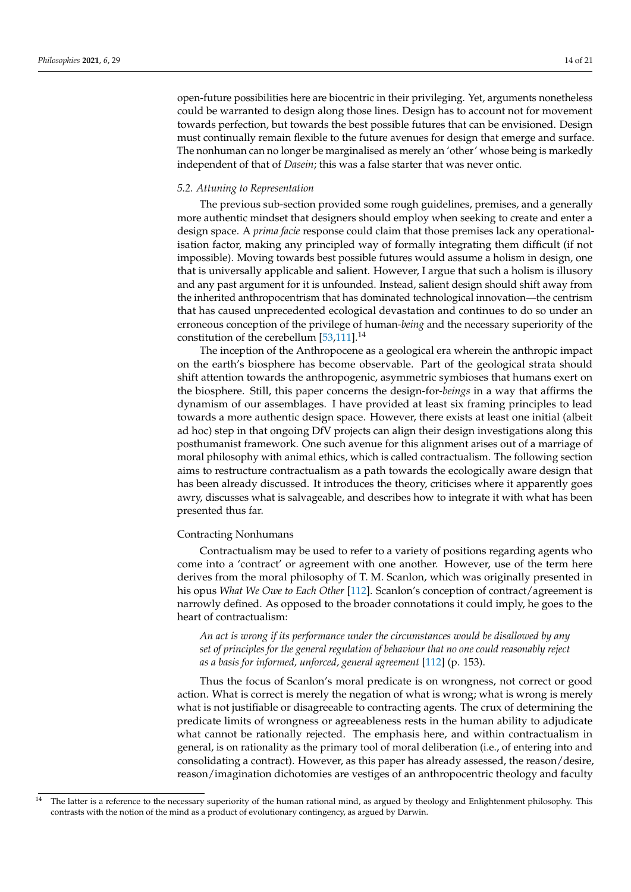open-future possibilities here are biocentric in their privileging. Yet, arguments nonetheless could be warranted to design along those lines. Design has to account not for movement towards perfection, but towards the best possible futures that can be envisioned. Design must continually remain flexible to the future avenues for design that emerge and surface. The nonhuman can no longer be marginalised as merely an 'other' whose being is markedly independent of that of *Dasein*; this was a false starter that was never ontic.

#### *5.2. Attuning to Representation*

The previous sub-section provided some rough guidelines, premises, and a generally more authentic mindset that designers should employ when seeking to create and enter a design space. A *prima facie* response could claim that those premises lack any operationalisation factor, making any principled way of formally integrating them difficult (if not impossible). Moving towards best possible futures would assume a holism in design, one that is universally applicable and salient. However, I argue that such a holism is illusory and any past argument for it is unfounded. Instead, salient design should shift away from the inherited anthropocentrism that has dominated technological innovation—the centrism that has caused unprecedented ecological devastation and continues to do so under an erroneous conception of the privilege of human-*being* and the necessary superiority of the constitution of the cerebellum [\[53](#page-18-18)[,111\]](#page-20-0).<sup>14</sup>

The inception of the Anthropocene as a geological era wherein the anthropic impact on the earth's biosphere has become observable. Part of the geological strata should shift attention towards the anthropogenic, asymmetric symbioses that humans exert on the biosphere. Still, this paper concerns the design-for-*beings* in a way that affirms the dynamism of our assemblages. I have provided at least six framing principles to lead towards a more authentic design space. However, there exists at least one initial (albeit ad hoc) step in that ongoing DfV projects can align their design investigations along this posthumanist framework. One such avenue for this alignment arises out of a marriage of moral philosophy with animal ethics, which is called contractualism. The following section aims to restructure contractualism as a path towards the ecologically aware design that has been already discussed. It introduces the theory, criticises where it apparently goes awry, discusses what is salvageable, and describes how to integrate it with what has been presented thus far.

#### Contracting Nonhumans

Contractualism may be used to refer to a variety of positions regarding agents who come into a 'contract' or agreement with one another. However, use of the term here derives from the moral philosophy of T. M. Scanlon, which was originally presented in his opus *What We Owe to Each Other* [\[112\]](#page-20-1). Scanlon's conception of contract/agreement is narrowly defined. As opposed to the broader connotations it could imply, he goes to the heart of contractualism:

*An act is wrong if its performance under the circumstances would be disallowed by any set of principles for the general regulation of behaviour that no one could reasonably reject as a basis for informed, unforced, general agreement* [\[112\]](#page-20-1) (p. 153).

Thus the focus of Scanlon's moral predicate is on wrongness, not correct or good action. What is correct is merely the negation of what is wrong; what is wrong is merely what is not justifiable or disagreeable to contracting agents. The crux of determining the predicate limits of wrongness or agreeableness rests in the human ability to adjudicate what cannot be rationally rejected. The emphasis here, and within contractualism in general, is on rationality as the primary tool of moral deliberation (i.e., of entering into and consolidating a contract). However, as this paper has already assessed, the reason/desire, reason/imagination dichotomies are vestiges of an anthropocentric theology and faculty

<sup>&</sup>lt;sup>14</sup> The latter is a reference to the necessary superiority of the human rational mind, as argued by theology and Enlightenment philosophy. This contrasts with the notion of the mind as a product of evolutionary contingency, as argued by Darwin.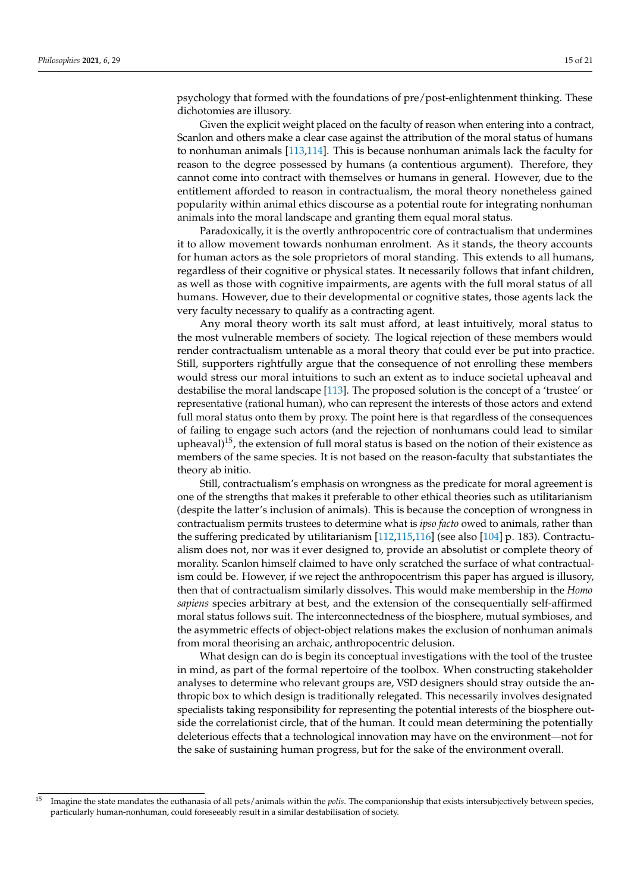psychology that formed with the foundations of pre/post-enlightenment thinking. These dichotomies are illusory.

Given the explicit weight placed on the faculty of reason when entering into a contract, Scanlon and others make a clear case against the attribution of the moral status of humans to nonhuman animals [\[113](#page-20-2)[,114\]](#page-20-3). This is because nonhuman animals lack the faculty for reason to the degree possessed by humans (a contentious argument). Therefore, they cannot come into contract with themselves or humans in general. However, due to the entitlement afforded to reason in contractualism, the moral theory nonetheless gained popularity within animal ethics discourse as a potential route for integrating nonhuman animals into the moral landscape and granting them equal moral status.

Paradoxically, it is the overtly anthropocentric core of contractualism that undermines it to allow movement towards nonhuman enrolment. As it stands, the theory accounts for human actors as the sole proprietors of moral standing. This extends to all humans, regardless of their cognitive or physical states. It necessarily follows that infant children, as well as those with cognitive impairments, are agents with the full moral status of all humans. However, due to their developmental or cognitive states, those agents lack the very faculty necessary to qualify as a contracting agent.

Any moral theory worth its salt must afford, at least intuitively, moral status to the most vulnerable members of society. The logical rejection of these members would render contractualism untenable as a moral theory that could ever be put into practice. Still, supporters rightfully argue that the consequence of not enrolling these members would stress our moral intuitions to such an extent as to induce societal upheaval and destabilise the moral landscape [\[113\]](#page-20-2). The proposed solution is the concept of a 'trustee' or representative (rational human), who can represent the interests of those actors and extend full moral status onto them by proxy. The point here is that regardless of the consequences of failing to engage such actors (and the rejection of nonhumans could lead to similar upheaval)<sup>15</sup>, the extension of full moral status is based on the notion of their existence as members of the same species. It is not based on the reason-faculty that substantiates the theory ab initio.

Still, contractualism's emphasis on wrongness as the predicate for moral agreement is one of the strengths that makes it preferable to other ethical theories such as utilitarianism (despite the latter's inclusion of animals). This is because the conception of wrongness in contractualism permits trustees to determine what is *ipso facto* owed to animals, rather than the suffering predicated by utilitarianism [\[112](#page-20-1)[,115](#page-20-4)[,116\]](#page-20-5) (see also [\[104\]](#page-19-29) p. 183). Contractualism does not, nor was it ever designed to, provide an absolutist or complete theory of morality. Scanlon himself claimed to have only scratched the surface of what contractualism could be. However, if we reject the anthropocentrism this paper has argued is illusory, then that of contractualism similarly dissolves. This would make membership in the *Homo sapiens* species arbitrary at best, and the extension of the consequentially self-affirmed moral status follows suit. The interconnectedness of the biosphere, mutual symbioses, and the asymmetric effects of object-object relations makes the exclusion of nonhuman animals from moral theorising an archaic, anthropocentric delusion.

What design can do is begin its conceptual investigations with the tool of the trustee in mind, as part of the formal repertoire of the toolbox. When constructing stakeholder analyses to determine who relevant groups are, VSD designers should stray outside the anthropic box to which design is traditionally relegated. This necessarily involves designated specialists taking responsibility for representing the potential interests of the biosphere outside the correlationist circle, that of the human. It could mean determining the potentially deleterious effects that a technological innovation may have on the environment—not for the sake of sustaining human progress, but for the sake of the environment overall.

<sup>15</sup> Imagine the state mandates the euthanasia of all pets/animals within the *polis*. The companionship that exists intersubjectively between species, particularly human-nonhuman, could foreseeably result in a similar destabilisation of society.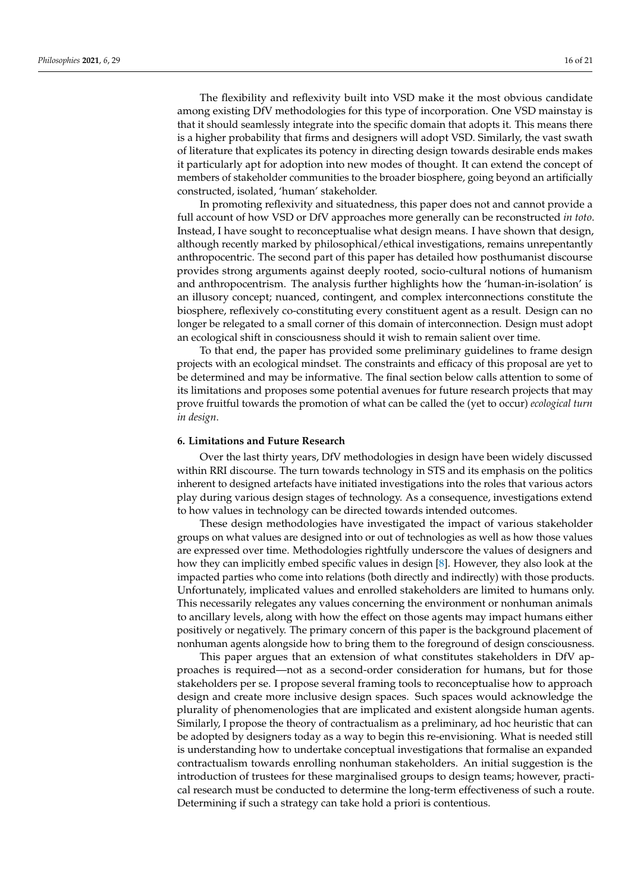The flexibility and reflexivity built into VSD make it the most obvious candidate among existing DfV methodologies for this type of incorporation. One VSD mainstay is that it should seamlessly integrate into the specific domain that adopts it. This means there is a higher probability that firms and designers will adopt VSD. Similarly, the vast swath of literature that explicates its potency in directing design towards desirable ends makes it particularly apt for adoption into new modes of thought. It can extend the concept of members of stakeholder communities to the broader biosphere, going beyond an artificially constructed, isolated, 'human' stakeholder.

In promoting reflexivity and situatedness, this paper does not and cannot provide a full account of how VSD or DfV approaches more generally can be reconstructed *in toto*. Instead, I have sought to reconceptualise what design means. I have shown that design, although recently marked by philosophical/ethical investigations, remains unrepentantly anthropocentric. The second part of this paper has detailed how posthumanist discourse provides strong arguments against deeply rooted, socio-cultural notions of humanism and anthropocentrism. The analysis further highlights how the 'human-in-isolation' is an illusory concept; nuanced, contingent, and complex interconnections constitute the biosphere, reflexively co-constituting every constituent agent as a result. Design can no longer be relegated to a small corner of this domain of interconnection. Design must adopt an ecological shift in consciousness should it wish to remain salient over time.

To that end, the paper has provided some preliminary guidelines to frame design projects with an ecological mindset. The constraints and efficacy of this proposal are yet to be determined and may be informative. The final section below calls attention to some of its limitations and proposes some potential avenues for future research projects that may prove fruitful towards the promotion of what can be called the (yet to occur) *ecological turn in design*.

#### **6. Limitations and Future Research**

Over the last thirty years, DfV methodologies in design have been widely discussed within RRI discourse. The turn towards technology in STS and its emphasis on the politics inherent to designed artefacts have initiated investigations into the roles that various actors play during various design stages of technology. As a consequence, investigations extend to how values in technology can be directed towards intended outcomes.

These design methodologies have investigated the impact of various stakeholder groups on what values are designed into or out of technologies as well as how those values are expressed over time. Methodologies rightfully underscore the values of designers and how they can implicitly embed specific values in design [\[8\]](#page-17-7). However, they also look at the impacted parties who come into relations (both directly and indirectly) with those products. Unfortunately, implicated values and enrolled stakeholders are limited to humans only. This necessarily relegates any values concerning the environment or nonhuman animals to ancillary levels, along with how the effect on those agents may impact humans either positively or negatively. The primary concern of this paper is the background placement of nonhuman agents alongside how to bring them to the foreground of design consciousness.

This paper argues that an extension of what constitutes stakeholders in DfV approaches is required—not as a second-order consideration for humans, but for those stakeholders per se. I propose several framing tools to reconceptualise how to approach design and create more inclusive design spaces. Such spaces would acknowledge the plurality of phenomenologies that are implicated and existent alongside human agents. Similarly, I propose the theory of contractualism as a preliminary, ad hoc heuristic that can be adopted by designers today as a way to begin this re-envisioning. What is needed still is understanding how to undertake conceptual investigations that formalise an expanded contractualism towards enrolling nonhuman stakeholders. An initial suggestion is the introduction of trustees for these marginalised groups to design teams; however, practical research must be conducted to determine the long-term effectiveness of such a route. Determining if such a strategy can take hold a priori is contentious.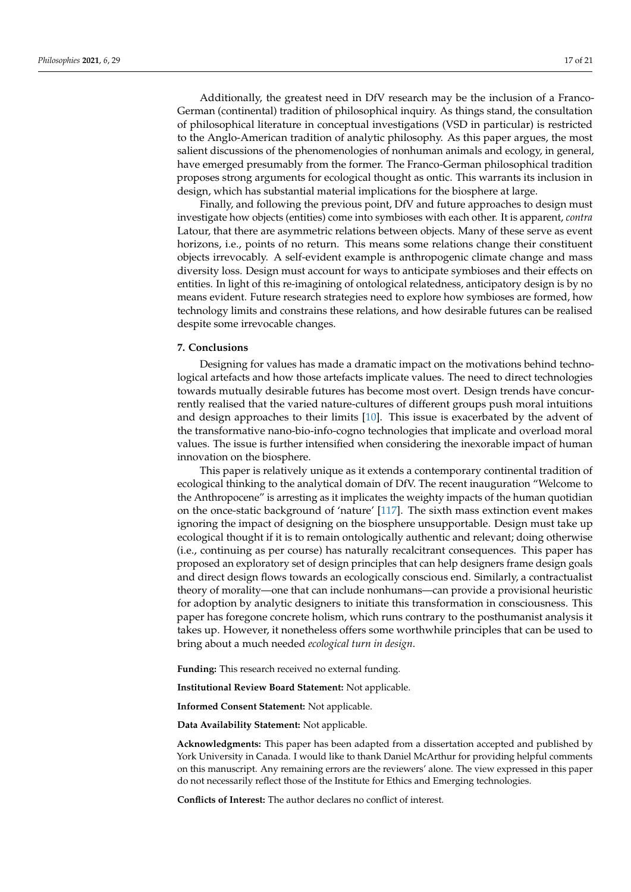Additionally, the greatest need in DfV research may be the inclusion of a Franco-German (continental) tradition of philosophical inquiry. As things stand, the consultation of philosophical literature in conceptual investigations (VSD in particular) is restricted to the Anglo-American tradition of analytic philosophy. As this paper argues, the most salient discussions of the phenomenologies of nonhuman animals and ecology, in general, have emerged presumably from the former. The Franco-German philosophical tradition proposes strong arguments for ecological thought as ontic. This warrants its inclusion in design, which has substantial material implications for the biosphere at large.

Finally, and following the previous point, DfV and future approaches to design must investigate how objects (entities) come into symbioses with each other. It is apparent, *contra* Latour, that there are asymmetric relations between objects. Many of these serve as event horizons, i.e., points of no return. This means some relations change their constituent objects irrevocably. A self-evident example is anthropogenic climate change and mass diversity loss. Design must account for ways to anticipate symbioses and their effects on entities. In light of this re-imagining of ontological relatedness, anticipatory design is by no means evident. Future research strategies need to explore how symbioses are formed, how technology limits and constrains these relations, and how desirable futures can be realised despite some irrevocable changes.

## **7. Conclusions**

Designing for values has made a dramatic impact on the motivations behind technological artefacts and how those artefacts implicate values. The need to direct technologies towards mutually desirable futures has become most overt. Design trends have concurrently realised that the varied nature-cultures of different groups push moral intuitions and design approaches to their limits [\[10\]](#page-17-9). This issue is exacerbated by the advent of the transformative nano-bio-info-cogno technologies that implicate and overload moral values. The issue is further intensified when considering the inexorable impact of human innovation on the biosphere.

This paper is relatively unique as it extends a contemporary continental tradition of ecological thinking to the analytical domain of DfV. The recent inauguration "Welcome to the Anthropocene" is arresting as it implicates the weighty impacts of the human quotidian on the once-static background of 'nature' [\[117\]](#page-20-6). The sixth mass extinction event makes ignoring the impact of designing on the biosphere unsupportable. Design must take up ecological thought if it is to remain ontologically authentic and relevant; doing otherwise (i.e., continuing as per course) has naturally recalcitrant consequences. This paper has proposed an exploratory set of design principles that can help designers frame design goals and direct design flows towards an ecologically conscious end. Similarly, a contractualist theory of morality—one that can include nonhumans—can provide a provisional heuristic for adoption by analytic designers to initiate this transformation in consciousness. This paper has foregone concrete holism, which runs contrary to the posthumanist analysis it takes up. However, it nonetheless offers some worthwhile principles that can be used to bring about a much needed *ecological turn in design*.

**Funding:** This research received no external funding.

**Institutional Review Board Statement:** Not applicable.

**Informed Consent Statement:** Not applicable.

**Data Availability Statement:** Not applicable.

**Acknowledgments:** This paper has been adapted from a dissertation accepted and published by York University in Canada. I would like to thank Daniel McArthur for providing helpful comments on this manuscript. Any remaining errors are the reviewers' alone. The view expressed in this paper do not necessarily reflect those of the Institute for Ethics and Emerging technologies.

**Conflicts of Interest:** The author declares no conflict of interest.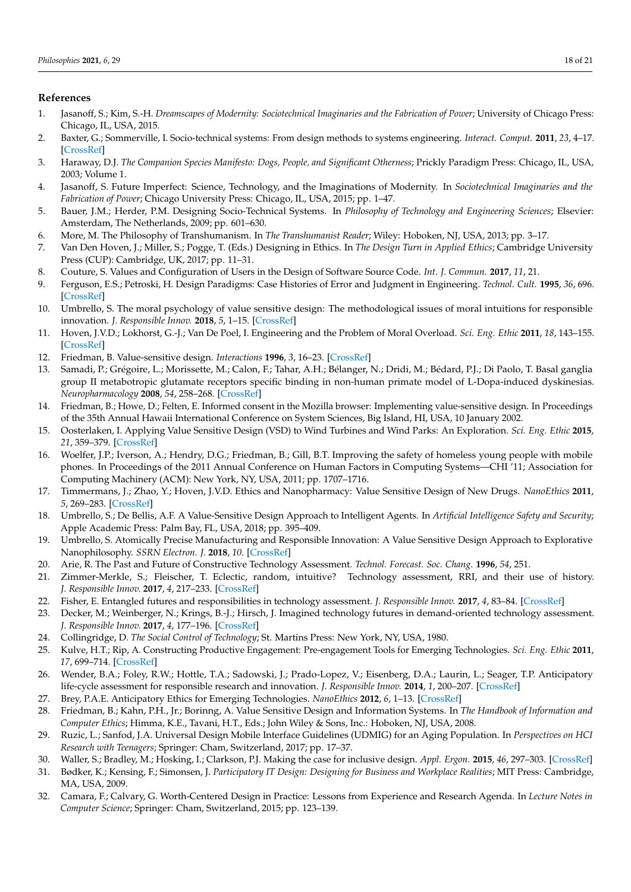## **References**

- <span id="page-17-0"></span>1. Jasanoff, S.; Kim, S.-H. *Dreamscapes of Modernity: Sociotechnical Imaginaries and the Fabrication of Power*; University of Chicago Press: Chicago, IL, USA, 2015.
- <span id="page-17-1"></span>2. Baxter, G.; Sommerville, I. Socio-technical systems: From design methods to systems engineering. *Interact. Comput.* **2011**, *23*, 4–17. [\[CrossRef\]](http://doi.org/10.1016/j.intcom.2010.07.003)
- <span id="page-17-2"></span>3. Haraway, D.J. *The Companion Species Manifesto: Dogs, People, and Significant Otherness*; Prickly Paradigm Press: Chicago, IL, USA, 2003; Volume 1.
- <span id="page-17-3"></span>4. Jasanoff, S. Future Imperfect: Science, Technology, and the Imaginations of Modernity. In *Sociotechnical Imaginaries and the Fabrication of Power*; Chicago University Press: Chicago, IL, USA, 2015; pp. 1–47.
- <span id="page-17-4"></span>5. Bauer, J.M.; Herder, P.M. Designing Socio-Technical Systems. In *Philosophy of Technology and Engineering Sciences*; Elsevier: Amsterdam, The Netherlands, 2009; pp. 601–630.
- <span id="page-17-5"></span>6. More, M. The Philosophy of Transhumanism. In *The Transhumanist Reader*; Wiley: Hoboken, NJ, USA, 2013; pp. 3–17.
- <span id="page-17-6"></span>7. Van Den Hoven, J.; Miller, S.; Pogge, T. (Eds.) Designing in Ethics. In *The Design Turn in Applied Ethics*; Cambridge University Press (CUP): Cambridge, UK, 2017; pp. 11–31.
- <span id="page-17-7"></span>8. Couture, S. Values and Configuration of Users in the Design of Software Source Code. *Int. J. Commun.* **2017**, *11*, 21.
- <span id="page-17-8"></span>9. Ferguson, E.S.; Petroski, H. Design Paradigms: Case Histories of Error and Judgment in Engineering. *Technol. Cult.* **1995**, *36*, 696. [\[CrossRef\]](http://doi.org/10.2307/3107264)
- <span id="page-17-9"></span>10. Umbrello, S. The moral psychology of value sensitive design: The methodological issues of moral intuitions for responsible innovation. *J. Responsible Innov.* **2018**, *5*, 1–15. [\[CrossRef\]](http://doi.org/10.1080/23299460.2018.1457401)
- <span id="page-17-10"></span>11. Hoven, J.V.D.; Lokhorst, G.-J.; Van De Poel, I. Engineering and the Problem of Moral Overload. *Sci. Eng. Ethic* **2011**, *18*, 143–155. [\[CrossRef\]](http://doi.org/10.1007/s11948-011-9277-z)
- <span id="page-17-11"></span>12. Friedman, B. Value-sensitive design. *Interactions* **1996**, *3*, 16–23. [\[CrossRef\]](http://doi.org/10.1145/242485.242493)
- <span id="page-17-12"></span>13. Samadi, P.; Grégoire, L.; Morissette, M.; Calon, F.; Tahar, A.H.; Bélanger, N.; Dridi, M.; Bédard, P.J.; Di Paolo, T. Basal ganglia group II metabotropic glutamate receptors specific binding in non-human primate model of L-Dopa-induced dyskinesias. *Neuropharmacology* **2008**, *54*, 258–268. [\[CrossRef\]](http://doi.org/10.1016/j.neuropharm.2007.08.009)
- <span id="page-17-13"></span>14. Friedman, B.; Howe, D.; Felten, E. Informed consent in the Mozilla browser: Implementing value-sensitive design. In Proceedings of the 35th Annual Hawaii International Conference on System Sciences, Big Island, HI, USA, 10 January 2002.
- 15. Oosterlaken, I. Applying Value Sensitive Design (VSD) to Wind Turbines and Wind Parks: An Exploration. *Sci. Eng. Ethic* **2015**, *21*, 359–379. [\[CrossRef\]](http://doi.org/10.1007/s11948-014-9536-x)
- <span id="page-17-14"></span>16. Woelfer, J.P.; Iverson, A.; Hendry, D.G.; Friedman, B.; Gill, B.T. Improving the safety of homeless young people with mobile phones. In Proceedings of the 2011 Annual Conference on Human Factors in Computing Systems—CHI '11; Association for Computing Machinery (ACM): New York, NY, USA, 2011; pp. 1707–1716.
- <span id="page-17-15"></span>17. Timmermans, J.; Zhao, Y.; Hoven, J.V.D. Ethics and Nanopharmacy: Value Sensitive Design of New Drugs. *NanoEthics* **2011**, *5*, 269–283. [\[CrossRef\]](http://doi.org/10.1007/s11569-011-0135-x)
- 18. Umbrello, S.; De Bellis, A.F. A Value-Sensitive Design Approach to Intelligent Agents. In *Artificial Intelligence Safety and Security*; Apple Academic Press: Palm Bay, FL, USA, 2018; pp. 395–409.
- <span id="page-17-16"></span>19. Umbrello, S. Atomically Precise Manufacturing and Responsible Innovation: A Value Sensitive Design Approach to Explorative Nanophilosophy. *SSRN Electron. J.* **2018**, *10*. [\[CrossRef\]](http://doi.org/10.2139/ssrn.3141478)
- <span id="page-17-17"></span>20. Arie, R. The Past and Future of Constructive Technology Assessment. *Technol. Forecast. Soc. Chang.* **1996**, *54*, 251.
- 21. Zimmer-Merkle, S.; Fleischer, T. Eclectic, random, intuitive? Technology assessment, RRI, and their use of history. *J. Responsible Innov.* **2017**, *4*, 217–233. [\[CrossRef\]](http://doi.org/10.1080/23299460.2017.1338105)
- 22. Fisher, E. Entangled futures and responsibilities in technology assessment. *J. Responsible Innov.* **2017**, *4*, 83–84. [\[CrossRef\]](http://doi.org/10.1080/23299460.2017.1372061)
- <span id="page-17-18"></span>23. Decker, M.; Weinberger, N.; Krings, B.-J.; Hirsch, J. Imagined technology futures in demand-oriented technology assessment. *J. Responsible Innov.* **2017**, *4*, 177–196. [\[CrossRef\]](http://doi.org/10.1080/23299460.2017.1360720)
- <span id="page-17-19"></span>24. Collingridge, D. *The Social Control of Technology*; St. Martins Press: New York, NY, USA, 1980.
- <span id="page-17-20"></span>25. Kulve, H.T.; Rip, A. Constructing Productive Engagement: Pre-engagement Tools for Emerging Technologies. *Sci. Eng. Ethic* **2011**, *17*, 699–714. [\[CrossRef\]](http://doi.org/10.1007/s11948-011-9304-0)
- 26. Wender, B.A.; Foley, R.W.; Hottle, T.A.; Sadowski, J.; Prado-Lopez, V.; Eisenberg, D.A.; Laurin, L.; Seager, T.P. Anticipatory life-cycle assessment for responsible research and innovation. *J. Responsible Innov.* **2014**, *1*, 200–207. [\[CrossRef\]](http://doi.org/10.1080/23299460.2014.920121)
- <span id="page-17-21"></span>27. Brey, P.A.E. Anticipatory Ethics for Emerging Technologies. *NanoEthics* **2012**, *6*, 1–13. [\[CrossRef\]](http://doi.org/10.1007/s11569-012-0141-7)
- <span id="page-17-22"></span>28. Friedman, B.; Kahn, P.H., Jr.; Borinng, A. Value Sensitive Design and Information Systems. In *The Handbook of Information and Computer Ethics*; Himma, K.E., Tavani, H.T., Eds.; John Wiley & Sons, Inc.: Hoboken, NJ, USA, 2008.
- <span id="page-17-23"></span>29. Ruzic, L.; Sanfod, J.A. Universal Design Mobile Interface Guidelines (UDMIG) for an Aging Population. In *Perspectives on HCI Research with Teenagers*; Springer: Cham, Switzerland, 2017; pp. 17–37.
- 30. Waller, S.; Bradley, M.; Hosking, I.; Clarkson, P.J. Making the case for inclusive design. *Appl. Ergon.* **2015**, *46*, 297–303. [\[CrossRef\]](http://doi.org/10.1016/j.apergo.2013.03.012)
- 31. Bødker, K.; Kensing, F.; Simonsen, J. *Participatory IT Design: Designing for Business and Workplace Realities*; MIT Press: Cambridge, MA, USA, 2009.
- <span id="page-17-24"></span>32. Camara, F.; Calvary, G. Worth-Centered Design in Practice: Lessons from Experience and Research Agenda. In *Lecture Notes in Computer Science*; Springer: Cham, Switzerland, 2015; pp. 123–139.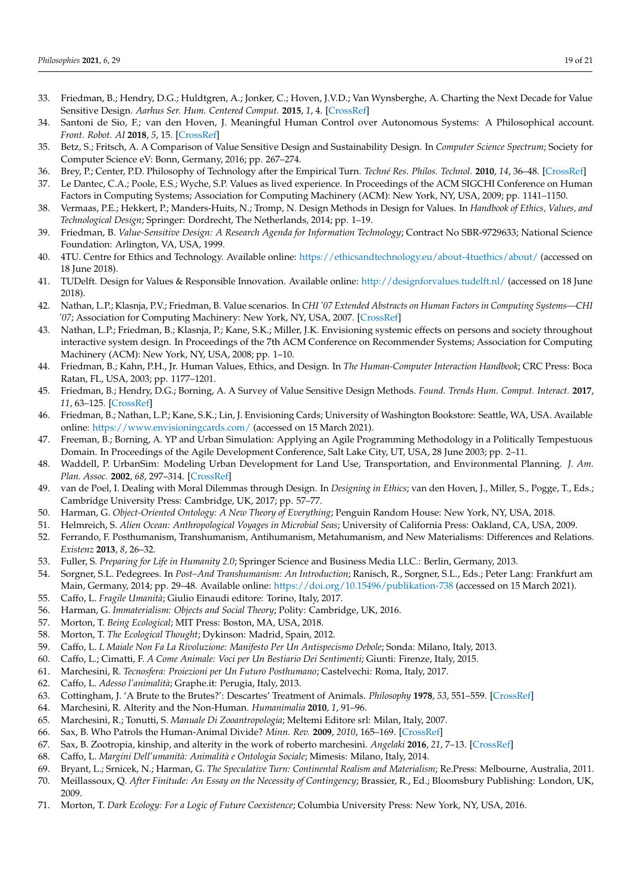- <span id="page-18-0"></span>33. Friedman, B.; Hendry, D.G.; Huldtgren, A.; Jonker, C.; Hoven, J.V.D.; Van Wynsberghe, A. Charting the Next Decade for Value Sensitive Design. *Aarhus Ser. Hum. Centered Comput.* **2015**, *1*, 4. [\[CrossRef\]](http://doi.org/10.7146/aahcc.v1i1.21619)
- 34. Santoni de Sio, F.; van den Hoven, J. Meaningful Human Control over Autonomous Systems: A Philosophical account. *Front. Robot. AI* **2018**, *5*, 15. [\[CrossRef\]](http://doi.org/10.3389/frobt.2018.00015)
- <span id="page-18-1"></span>35. Betz, S.; Fritsch, A. A Comparison of Value Sensitive Design and Sustainability Design. In *Computer Science Spectrum*; Society for Computer Science eV: Bonn, Germany, 2016; pp. 267–274.
- <span id="page-18-2"></span>36. Brey, P.; Center, P.D. Philosophy of Technology after the Empirical Turn. *Techné Res. Philos. Technol.* **2010**, *14*, 36–48. [\[CrossRef\]](http://doi.org/10.5840/techne20101416)
- 37. Le Dantec, C.A.; Poole, E.S.; Wyche, S.P. Values as lived experience. In Proceedings of the ACM SIGCHI Conference on Human Factors in Computing Systems; Association for Computing Machinery (ACM): New York, NY, USA, 2009; pp. 1141–1150.
- <span id="page-18-3"></span>38. Vermaas, P.E.; Hekkert, P.; Manders-Huits, N.; Tromp, N. Design Methods in Design for Values. In *Handbook of Ethics, Values, and Technological Design*; Springer: Dordrecht, The Netherlands, 2014; pp. 1–19.
- <span id="page-18-4"></span>39. Friedman, B. *Value-Sensitive Design: A Research Agenda for Information Technology*; Contract No SBR-9729633; National Science Foundation: Arlington, VA, USA, 1999.
- <span id="page-18-5"></span>40. 4TU. Centre for Ethics and Technology. Available online: <https://ethicsandtechnology.eu/about-4tuethics/about/> (accessed on 18 June 2018).
- <span id="page-18-6"></span>41. TUDelft. Design for Values & Responsible Innovation. Available online: <http://designforvalues.tudelft.nl/> (accessed on 18 June 2018).
- <span id="page-18-7"></span>42. Nathan, L.P.; Klasnja, P.V.; Friedman, B. Value scenarios. In *CHI '07 Extended Abstracts on Human Factors in Computing Systems—CHI '07*; Association for Computing Machinery: New York, NY, USA, 2007. [\[CrossRef\]](http://doi.org/10.1145/1240866.1241046)
- <span id="page-18-8"></span>43. Nathan, L.P.; Friedman, B.; Klasnja, P.; Kane, S.K.; Miller, J.K. Envisioning systemic effects on persons and society throughout interactive system design. In Proceedings of the 7th ACM Conference on Recommender Systems; Association for Computing Machinery (ACM): New York, NY, USA, 2008; pp. 1–10.
- <span id="page-18-9"></span>44. Friedman, B.; Kahn, P.H., Jr. Human Values, Ethics, and Design. In *The Human-Computer Interaction Handbook*; CRC Press: Boca Ratan, FL, USA, 2003; pp. 1177–1201.
- <span id="page-18-10"></span>45. Friedman, B.; Hendry, D.G.; Borning, A. A Survey of Value Sensitive Design Methods. *Found. Trends Hum. Comput. Interact.* **2017**, *11*, 63–125. [\[CrossRef\]](http://doi.org/10.1561/1100000015)
- <span id="page-18-11"></span>46. Friedman, B.; Nathan, L.P.; Kane, S.K.; Lin, J. Envisioning Cards; University of Washington Bookstore: Seattle, WA, USA. Available online: <https://www.envisioningcards.com/> (accessed on 15 March 2021).
- <span id="page-18-12"></span>47. Freeman, B.; Borning, A. YP and Urban Simulation: Applying an Agile Programming Methodology in a Politically Tempestuous Domain. In Proceedings of the Agile Development Conference, Salt Lake City, UT, USA, 28 June 2003; pp. 2–11.
- <span id="page-18-13"></span>48. Waddell, P. UrbanSim: Modeling Urban Development for Land Use, Transportation, and Environmental Planning. *J. Am. Plan. Assoc.* **2002**, *68*, 297–314. [\[CrossRef\]](http://doi.org/10.1080/01944360208976274)
- <span id="page-18-14"></span>49. van de Poel, I. Dealing with Moral Dilemmas through Design. In *Designing in Ethics*; van den Hoven, J., Miller, S., Pogge, T., Eds.; Cambridge University Press: Cambridge, UK, 2017; pp. 57–77.
- <span id="page-18-15"></span>50. Harman, G. *Object-Oriented Ontology: A New Theory of Everything*; Penguin Random House: New York, NY, USA, 2018.
- <span id="page-18-16"></span>51. Helmreich, S. *Alien Ocean: Anthropological Voyages in Microbial Seas*; University of California Press: Oakland, CA, USA, 2009.
- <span id="page-18-17"></span>52. Ferrando, F. Posthumanism, Transhumanism, Antihumanism, Metahumanism, and New Materialisms: Differences and Relations. *Existenz* **2013**, *8*, 26–32.
- <span id="page-18-18"></span>53. Fuller, S. *Preparing for Life in Humanity 2.0*; Springer Science and Business Media LLC.: Berlin, Germany, 2013.
- <span id="page-18-19"></span>54. Sorgner, S.L. Pedegrees. In *Post–And Transhumanism: An Introduction*; Ranisch, R., Sorgner, S.L., Eds.; Peter Lang: Frankfurt am Main, Germany, 2014; pp. 29–48. Available online: <https://doi.org/10.15496/publikation-738> (accessed on 15 March 2021).
- <span id="page-18-20"></span>55. Caffo, L. *Fragile Umanità*; Giulio Einaudi editore: Torino, Italy, 2017.
- <span id="page-18-21"></span>56. Harman, G. *Immaterialism: Objects and Social Theory*; Polity: Cambridge, UK, 2016.
- <span id="page-18-23"></span>57. Morton, T. *Being Ecological*; MIT Press: Boston, MA, USA, 2018.
- <span id="page-18-22"></span>58. Morton, T. *The Ecological Thought*; Dykinson: Madrid, Spain, 2012.
- <span id="page-18-24"></span>59. Caffo, L. *L Maiale Non Fa La Rivoluzione: Manifesto Per Un Antispecismo Debole*; Sonda: Milano, Italy, 2013.
- 60. Caffo, L.; Cimatti, F. *A Come Animale: Voci per Un Bestiario Dei Sentimenti*; Giunti: Firenze, Italy, 2015.
- <span id="page-18-25"></span>61. Marchesini, R. *Tecnosfera: Proiezioni per Un Futuro Posthumano*; Castelvechi: Roma, Italy, 2017.
- <span id="page-18-26"></span>62. Caffo, L. *Adesso l'animalità*; Graphe.it: Perugia, Italy, 2013.
- <span id="page-18-27"></span>63. Cottingham, J. 'A Brute to the Brutes?': Descartes' Treatment of Animals. *Philosophy* **1978**, *53*, 551–559. [\[CrossRef\]](http://doi.org/10.1017/S0031819100026371)
- <span id="page-18-28"></span>64. Marchesini, R. Alterity and the Non-Human. *Humanimalia* **2010**, *1*, 91–96.
- <span id="page-18-29"></span>65. Marchesini, R.; Tonutti, S. *Manuale Di Zooantropologia*; Meltemi Editore srl: Milan, Italy, 2007.
- 66. Sax, B. Who Patrols the Human-Animal Divide? *Minn. Rev.* **2009**, *2010*, 165–169. [\[CrossRef\]](http://doi.org/10.1215/00265667-2010-73-74-165)
- <span id="page-18-30"></span>67. Sax, B. Zootropia, kinship, and alterity in the work of roberto marchesini. *Angelaki* **2016**, *21*, 7–13. [\[CrossRef\]](http://doi.org/10.1080/0969725X.2016.1163067)
- <span id="page-18-31"></span>68. Caffo, L. *Margini Dell'umanità: Animalità e Ontologia Sociale*; Mimesis: Milano, Italy, 2014.
- <span id="page-18-32"></span>69. Bryant, L.; Srnicek, N.; Harman, G. *The Speculative Turn: Continental Realism and Materialism*; Re.Press: Melbourne, Australia, 2011.
- <span id="page-18-33"></span>70. Meillassoux, Q. *After Finitude: An Essay on the Necessity of Contingency*; Brassier, R., Ed.; Bloomsbury Publishing: London, UK, 2009.
- <span id="page-18-34"></span>71. Morton, T. *Dark Ecology: For a Logic of Future Coexistence*; Columbia University Press: New York, NY, USA, 2016.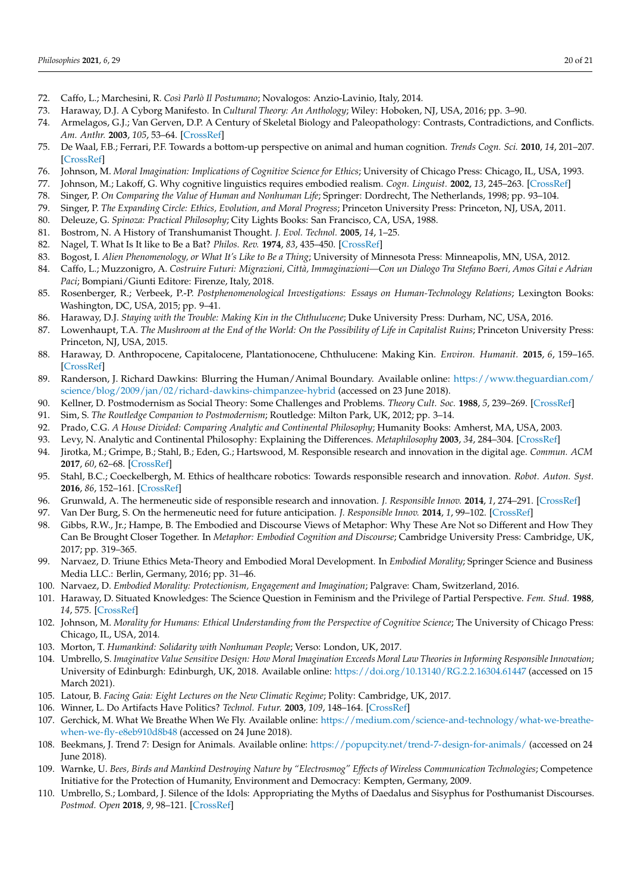- <span id="page-19-0"></span>72. Caffo, L.; Marchesini, R. *Così Parlò Il Postumano*; Novalogos: Anzio-Lavinio, Italy, 2014.
- <span id="page-19-1"></span>73. Haraway, D.J. A Cyborg Manifesto. In *Cultural Theory: An Anthology*; Wiley: Hoboken, NJ, USA, 2016; pp. 3–90.
- <span id="page-19-2"></span>74. Armelagos, G.J.; Van Gerven, D.P. A Century of Skeletal Biology and Paleopathology: Contrasts, Contradictions, and Conflicts. *Am. Anthr.* **2003**, *105*, 53–64. [\[CrossRef\]](http://doi.org/10.1525/aa.2003.105.1.53)
- <span id="page-19-3"></span>75. De Waal, F.B.; Ferrari, P.F. Towards a bottom-up perspective on animal and human cognition. *Trends Cogn. Sci.* **2010**, *14*, 201–207. [\[CrossRef\]](http://doi.org/10.1016/j.tics.2010.03.003)
- <span id="page-19-4"></span>76. Johnson, M. *Moral Imagination: Implications of Cognitive Science for Ethics*; University of Chicago Press: Chicago, IL, USA, 1993.
- <span id="page-19-5"></span>77. Johnson, M.; Lakoff, G. Why cognitive linguistics requires embodied realism. *Cogn. Linguist.* **2002**, *13*, 245–263. [\[CrossRef\]](http://doi.org/10.1515/cogl.2002.016)
- <span id="page-19-6"></span>78. Singer, P. *On Comparing the Value of Human and Nonhuman Life*; Springer: Dordrecht, The Netherlands, 1998; pp. 93–104.
- <span id="page-19-14"></span>79. Singer, P. *The Expanding Circle: Ethics, Evolution, and Moral Progress*; Princeton University Press: Princeton, NJ, USA, 2011.
- <span id="page-19-7"></span>80. Deleuze, G. *Spinoza: Practical Philosophy*; City Lights Books: San Francisco, CA, USA, 1988.
- <span id="page-19-8"></span>81. Bostrom, N. A History of Transhumanist Thought. *J. Evol. Technol.* **2005**, *14*, 1–25.
- <span id="page-19-9"></span>82. Nagel, T. What Is It like to Be a Bat? *Philos. Rev.* **1974**, *83*, 435–450. [\[CrossRef\]](http://doi.org/10.2307/2183914)
- <span id="page-19-10"></span>83. Bogost, I. *Alien Phenomenology, or What It's Like to Be a Thing*; University of Minnesota Press: Minneapolis, MN, USA, 2012.
- <span id="page-19-11"></span>84. Caffo, L.; Muzzonigro, A. *Costruire Futuri: Migrazioni, Città, Immaginazioni—Con un Dialogo Tra Stefano Boeri, Amos Gitai e Adrian Paci*; Bompiani/Giunti Editore: Firenze, Italy, 2018.
- <span id="page-19-12"></span>85. Rosenberger, R.; Verbeek, P.-P. *Postphenomenological Investigations: Essays on Human-Technology Relations*; Lexington Books: Washington, DC, USA, 2015; pp. 9–41.
- <span id="page-19-13"></span>86. Haraway, D.J. *Staying with the Trouble: Making Kin in the Chthulucene*; Duke University Press: Durham, NC, USA, 2016.
- <span id="page-19-15"></span>87. Lowenhaupt, T.A. *The Mushroom at the End of the World: On the Possibility of Life in Capitalist Ruins*; Princeton University Press: Princeton, NJ, USA, 2015.
- <span id="page-19-16"></span>88. Haraway, D. Anthropocene, Capitalocene, Plantationocene, Chthulucene: Making Kin. *Environ. Humanit.* **2015**, *6*, 159–165. [\[CrossRef\]](http://doi.org/10.1215/22011919-3615934)
- <span id="page-19-17"></span>89. Randerson, J. Richard Dawkins: Blurring the Human/Animal Boundary. Available online: [https://www.theguardian.com/](https://www.theguardian.com/science/blog/2009/jan/02/richard-dawkins-chimpanzee-hybrid) [science/blog/2009/jan/02/richard-dawkins-chimpanzee-hybrid](https://www.theguardian.com/science/blog/2009/jan/02/richard-dawkins-chimpanzee-hybrid) (accessed on 23 June 2018).
- <span id="page-19-18"></span>90. Kellner, D. Postmodernism as Social Theory: Some Challenges and Problems. *Theory Cult. Soc.* **1988**, *5*, 239–269. [\[CrossRef\]](http://doi.org/10.1177/0263276488005002003)
- <span id="page-19-19"></span>91. Sim, S. *The Routledge Companion to Postmodernism*; Routledge: Milton Park, UK, 2012; pp. 3–14.
- <span id="page-19-20"></span>92. Prado, C.G. *A House Divided: Comparing Analytic and Continental Philosophy*; Humanity Books: Amherst, MA, USA, 2003.
- <span id="page-19-21"></span>93. Levy, N. Analytic and Continental Philosophy: Explaining the Differences. *Metaphilosophy* **2003**, *34*, 284–304. [\[CrossRef\]](http://doi.org/10.1111/1467-9973.00274)
- <span id="page-19-22"></span>94. Jirotka, M.; Grimpe, B.; Stahl, B.; Eden, G.; Hartswood, M. Responsible research and innovation in the digital age. *Commun. ACM* **2017**, *60*, 62–68. [\[CrossRef\]](http://doi.org/10.1145/3064940)
- <span id="page-19-23"></span>95. Stahl, B.C.; Coeckelbergh, M. Ethics of healthcare robotics: Towards responsible research and innovation. *Robot. Auton. Syst.* **2016**, *86*, 152–161. [\[CrossRef\]](http://doi.org/10.1016/j.robot.2016.08.018)
- <span id="page-19-24"></span>96. Grunwald, A. The hermeneutic side of responsible research and innovation. *J. Responsible Innov.* **2014**, *1*, 274–291. [\[CrossRef\]](http://doi.org/10.1080/23299460.2014.968437)
- <span id="page-19-25"></span>97. Van Der Burg, S. On the hermeneutic need for future anticipation. *J. Responsible Innov.* **2014**, *1*, 99–102. [\[CrossRef\]](http://doi.org/10.1080/23299460.2014.882556)
- <span id="page-19-26"></span>98. Gibbs, R.W., Jr.; Hampe, B. The Embodied and Discourse Views of Metaphor: Why These Are Not so Different and How They Can Be Brought Closer Together. In *Metaphor: Embodied Cognition and Discourse*; Cambridge University Press: Cambridge, UK, 2017; pp. 319–365.
- <span id="page-19-27"></span>99. Narvaez, D. Triune Ethics Meta-Theory and Embodied Moral Development. In *Embodied Morality*; Springer Science and Business Media LLC.: Berlin, Germany, 2016; pp. 31–46.
- 100. Narvaez, D. *Embodied Morality: Protectionism, Engagement and Imagination*; Palgrave: Cham, Switzerland, 2016.
- 101. Haraway, D. Situated Knowledges: The Science Question in Feminism and the Privilege of Partial Perspective. *Fem. Stud.* **1988**, *14*, 575. [\[CrossRef\]](http://doi.org/10.2307/3178066)
- 102. Johnson, M. *Morality for Humans: Ethical Understanding from the Perspective of Cognitive Science*; The University of Chicago Press: Chicago, IL, USA, 2014.
- <span id="page-19-28"></span>103. Morton, T. *Humankind: Solidarity with Nonhuman People*; Verso: London, UK, 2017.
- <span id="page-19-29"></span>104. Umbrello, S. *Imaginative Value Sensitive Design: How Moral Imagination Exceeds Moral Law Theories in Informing Responsible Innovation*; University of Edinburgh: Edinburgh, UK, 2018. Available online: <https://doi.org/10.13140/RG.2.2.16304.61447> (accessed on 15 March 2021).
- <span id="page-19-30"></span>105. Latour, B. *Facing Gaia: Eight Lectures on the New Climatic Regime*; Polity: Cambridge, UK, 2017.
- <span id="page-19-31"></span>106. Winner, L. Do Artifacts Have Politics? *Technol. Futur.* **2003**, *109*, 148–164. [\[CrossRef\]](http://doi.org/10.2307/20024652)
- <span id="page-19-32"></span>107. Gerchick, M. What We Breathe When We Fly. Available online: [https://medium.com/science-and-technology/what-we-breathe](https://medium.com/science-and-technology/what-we-breathe-when-we-fly-e8eb910d8b48)[when-we-fly-e8eb910d8b48](https://medium.com/science-and-technology/what-we-breathe-when-we-fly-e8eb910d8b48) (accessed on 24 June 2018).
- <span id="page-19-33"></span>108. Beekmans, J. Trend 7: Design for Animals. Available online: <https://popupcity.net/trend-7-design-for-animals/> (accessed on 24 June 2018).
- <span id="page-19-34"></span>109. Warnke, U. *Bees, Birds and Mankind Destroying Nature by "Electrosmog" Effects of Wireless Communication Technologies*; Competence Initiative for the Protection of Humanity, Environment and Democracy: Kempten, Germany, 2009.
- <span id="page-19-35"></span>110. Umbrello, S.; Lombard, J. Silence of the Idols: Appropriating the Myths of Daedalus and Sisyphus for Posthumanist Discourses. *Postmod. Open* **2018**, *9*, 98–121. [\[CrossRef\]](http://doi.org/10.18662/po/47)